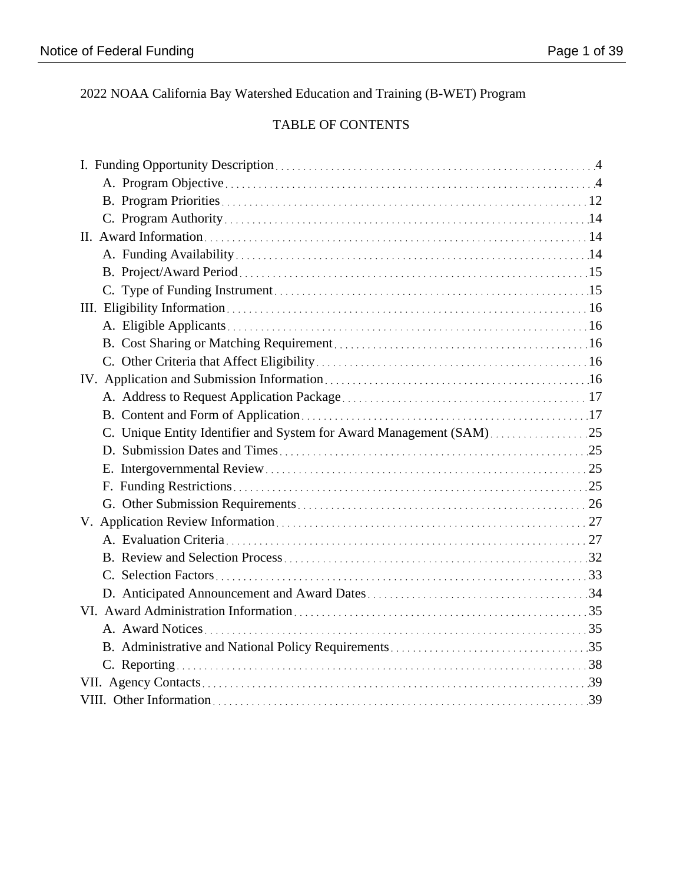2022 NOAA California Bay Watershed Education and Training (B-WET) Program

# TABLE OF CONTENTS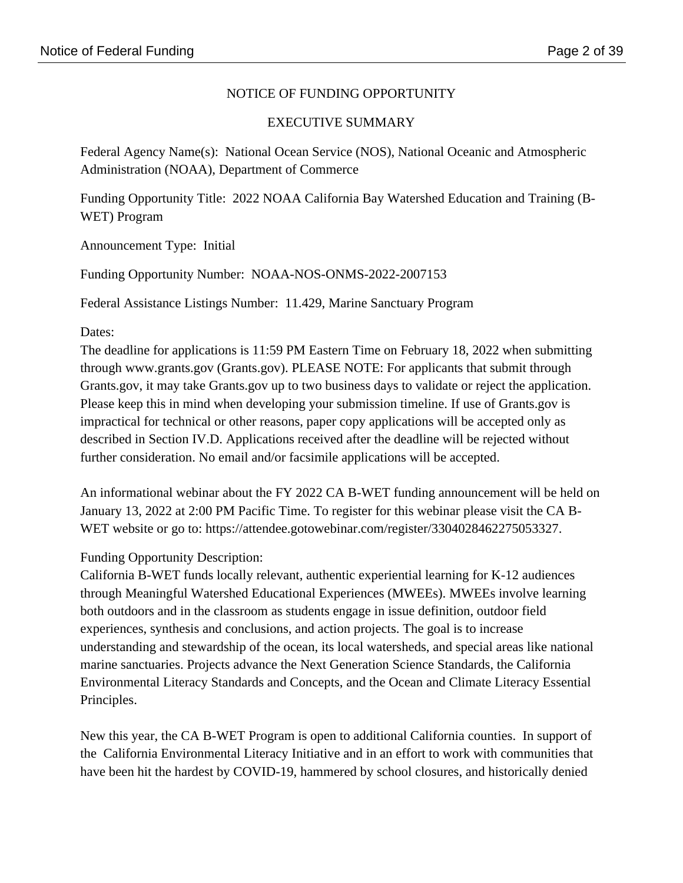## NOTICE OF FUNDING OPPORTUNITY

### EXECUTIVE SUMMARY

Federal Agency Name(s): National Ocean Service (NOS), National Oceanic and Atmospheric Administration (NOAA), Department of Commerce

Funding Opportunity Title: 2022 NOAA California Bay Watershed Education and Training (B-WET) Program

Announcement Type: Initial

Funding Opportunity Number: NOAA-NOS-ONMS-2022-2007153

Federal Assistance Listings Number: 11.429, Marine Sanctuary Program

#### Dates:

The deadline for applications is 11:59 PM Eastern Time on February 18, 2022 when submitting through www.grants.gov (Grants.gov). PLEASE NOTE: For applicants that submit through Grants.gov, it may take Grants.gov up to two business days to validate or reject the application. Please keep this in mind when developing your submission timeline. If use of Grants.gov is impractical for technical or other reasons, paper copy applications will be accepted only as described in Section IV.D. Applications received after the deadline will be rejected without further consideration. No email and/or facsimile applications will be accepted.

An informational webinar about the FY 2022 CA B-WET funding announcement will be held on January 13, 2022 at 2:00 PM Pacific Time. To register for this webinar please visit the CA B-WET website or go to: https://attendee.gotowebinar.com/register/3304028462275053327.

## Funding Opportunity Description:

California B-WET funds locally relevant, authentic experiential learning for K-12 audiences through Meaningful Watershed Educational Experiences (MWEEs). MWEEs involve learning both outdoors and in the classroom as students engage in issue definition, outdoor field experiences, synthesis and conclusions, and action projects. The goal is to increase understanding and stewardship of the ocean, its local watersheds, and special areas like national marine sanctuaries. Projects advance the Next Generation Science Standards, the California Environmental Literacy Standards and Concepts, and the Ocean and Climate Literacy Essential Principles.

New this year, the CA B-WET Program is open to additional California counties. In support of the California Environmental Literacy Initiative and in an effort to work with communities that have been hit the hardest by COVID-19, hammered by school closures, and historically denied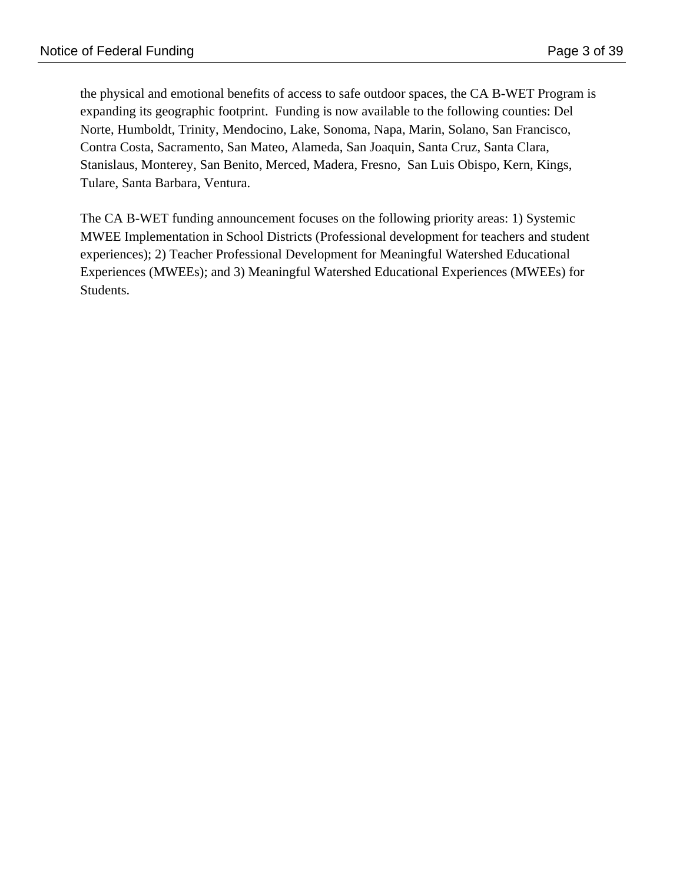the physical and emotional benefits of access to safe outdoor spaces, the CA B-WET Program is expanding its geographic footprint. Funding is now available to the following counties: Del Norte, Humboldt, Trinity, Mendocino, Lake, Sonoma, Napa, Marin, Solano, San Francisco, Contra Costa, Sacramento, San Mateo, Alameda, San Joaquin, Santa Cruz, Santa Clara, Stanislaus, Monterey, San Benito, Merced, Madera, Fresno, San Luis Obispo, Kern, Kings, Tulare, Santa Barbara, Ventura.

The CA B-WET funding announcement focuses on the following priority areas: 1) Systemic MWEE Implementation in School Districts (Professional development for teachers and student experiences); 2) Teacher Professional Development for Meaningful Watershed Educational Experiences (MWEEs); and 3) Meaningful Watershed Educational Experiences (MWEEs) for Students.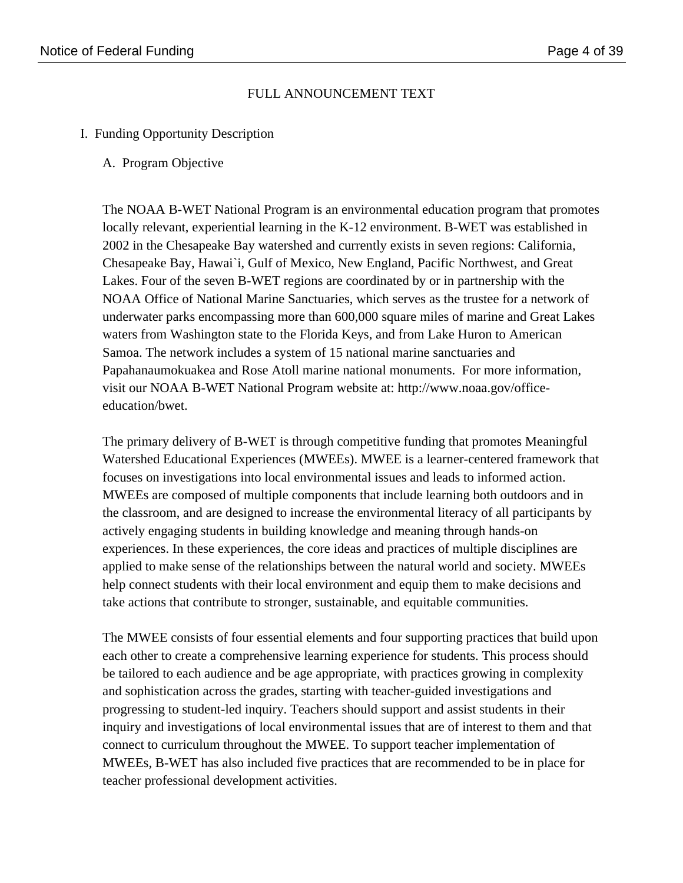### FULL ANNOUNCEMENT TEXT

- I. Funding Opportunity Description
	- A. Program Objective

The NOAA B-WET National Program is an environmental education program that promotes locally relevant, experiential learning in the K-12 environment. B-WET was established in 2002 in the Chesapeake Bay watershed and currently exists in seven regions: California, Chesapeake Bay, Hawai`i, Gulf of Mexico, New England, Pacific Northwest, and Great Lakes. Four of the seven B-WET regions are coordinated by or in partnership with the NOAA Office of National Marine Sanctuaries, which serves as the trustee for a network of underwater parks encompassing more than 600,000 square miles of marine and Great Lakes waters from Washington state to the Florida Keys, and from Lake Huron to American Samoa. The network includes a system of 15 national marine sanctuaries and Papahanaumokuakea and Rose Atoll marine national monuments. For more information, visit our NOAA B-WET National Program website at: http://www.noaa.gov/officeeducation/bwet.

The primary delivery of B-WET is through competitive funding that promotes Meaningful Watershed Educational Experiences (MWEEs). MWEE is a learner-centered framework that focuses on investigations into local environmental issues and leads to informed action. MWEEs are composed of multiple components that include learning both outdoors and in the classroom, and are designed to increase the environmental literacy of all participants by actively engaging students in building knowledge and meaning through hands-on experiences. In these experiences, the core ideas and practices of multiple disciplines are applied to make sense of the relationships between the natural world and society. MWEEs help connect students with their local environment and equip them to make decisions and take actions that contribute to stronger, sustainable, and equitable communities.

The MWEE consists of four essential elements and four supporting practices that build upon each other to create a comprehensive learning experience for students. This process should be tailored to each audience and be age appropriate, with practices growing in complexity and sophistication across the grades, starting with teacher-guided investigations and progressing to student-led inquiry. Teachers should support and assist students in their inquiry and investigations of local environmental issues that are of interest to them and that connect to curriculum throughout the MWEE. To support teacher implementation of MWEEs, B-WET has also included five practices that are recommended to be in place for teacher professional development activities.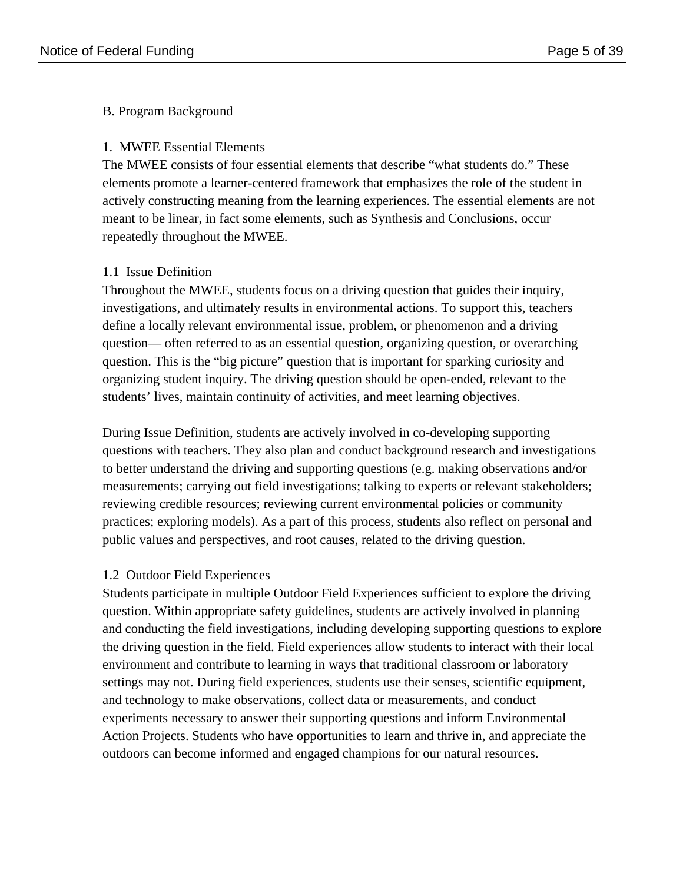### B. Program Background

### 1. MWEE Essential Elements

The MWEE consists of four essential elements that describe "what students do." These elements promote a learner-centered framework that emphasizes the role of the student in actively constructing meaning from the learning experiences. The essential elements are not meant to be linear, in fact some elements, such as Synthesis and Conclusions, occur repeatedly throughout the MWEE.

### 1.1 Issue Definition

Throughout the MWEE, students focus on a driving question that guides their inquiry, investigations, and ultimately results in environmental actions. To support this, teachers define a locally relevant environmental issue, problem, or phenomenon and a driving question— often referred to as an essential question, organizing question, or overarching question. This is the "big picture" question that is important for sparking curiosity and organizing student inquiry. The driving question should be open-ended, relevant to the students' lives, maintain continuity of activities, and meet learning objectives.

During Issue Definition, students are actively involved in co-developing supporting questions with teachers. They also plan and conduct background research and investigations to better understand the driving and supporting questions (e.g. making observations and/or measurements; carrying out field investigations; talking to experts or relevant stakeholders; reviewing credible resources; reviewing current environmental policies or community practices; exploring models). As a part of this process, students also reflect on personal and public values and perspectives, and root causes, related to the driving question.

#### 1.2 Outdoor Field Experiences

Students participate in multiple Outdoor Field Experiences sufficient to explore the driving question. Within appropriate safety guidelines, students are actively involved in planning and conducting the field investigations, including developing supporting questions to explore the driving question in the field. Field experiences allow students to interact with their local environment and contribute to learning in ways that traditional classroom or laboratory settings may not. During field experiences, students use their senses, scientific equipment, and technology to make observations, collect data or measurements, and conduct experiments necessary to answer their supporting questions and inform Environmental Action Projects. Students who have opportunities to learn and thrive in, and appreciate the outdoors can become informed and engaged champions for our natural resources.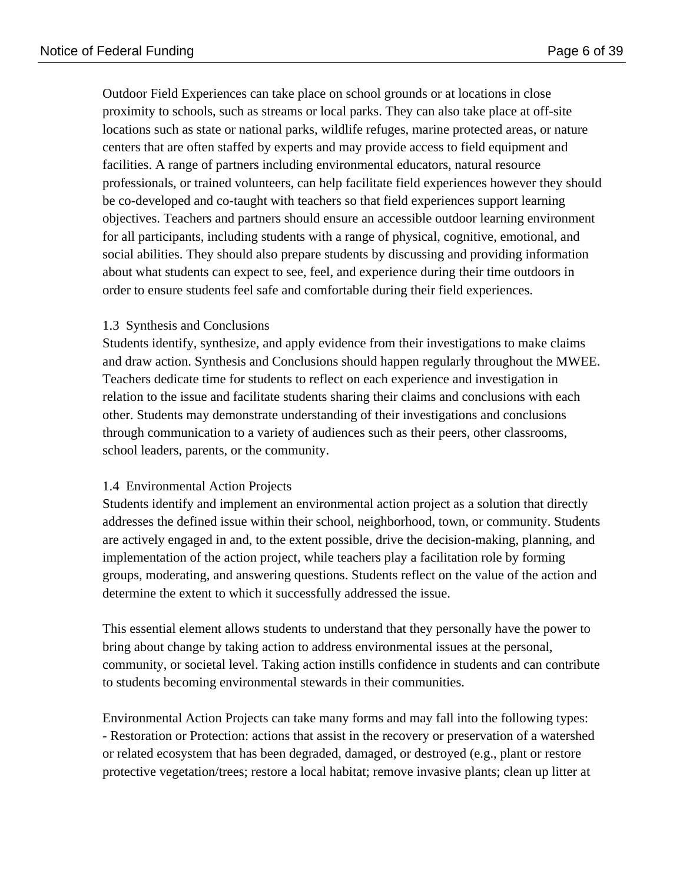Outdoor Field Experiences can take place on school grounds or at locations in close proximity to schools, such as streams or local parks. They can also take place at off-site locations such as state or national parks, wildlife refuges, marine protected areas, or nature centers that are often staffed by experts and may provide access to field equipment and facilities. A range of partners including environmental educators, natural resource professionals, or trained volunteers, can help facilitate field experiences however they should be co-developed and co-taught with teachers so that field experiences support learning objectives. Teachers and partners should ensure an accessible outdoor learning environment for all participants, including students with a range of physical, cognitive, emotional, and social abilities. They should also prepare students by discussing and providing information about what students can expect to see, feel, and experience during their time outdoors in order to ensure students feel safe and comfortable during their field experiences.

### 1.3 Synthesis and Conclusions

Students identify, synthesize, and apply evidence from their investigations to make claims and draw action. Synthesis and Conclusions should happen regularly throughout the MWEE. Teachers dedicate time for students to reflect on each experience and investigation in relation to the issue and facilitate students sharing their claims and conclusions with each other. Students may demonstrate understanding of their investigations and conclusions through communication to a variety of audiences such as their peers, other classrooms, school leaders, parents, or the community.

#### 1.4 Environmental Action Projects

Students identify and implement an environmental action project as a solution that directly addresses the defined issue within their school, neighborhood, town, or community. Students are actively engaged in and, to the extent possible, drive the decision-making, planning, and implementation of the action project, while teachers play a facilitation role by forming groups, moderating, and answering questions. Students reflect on the value of the action and determine the extent to which it successfully addressed the issue.

This essential element allows students to understand that they personally have the power to bring about change by taking action to address environmental issues at the personal, community, or societal level. Taking action instills confidence in students and can contribute to students becoming environmental stewards in their communities.

Environmental Action Projects can take many forms and may fall into the following types: - Restoration or Protection: actions that assist in the recovery or preservation of a watershed or related ecosystem that has been degraded, damaged, or destroyed (e.g., plant or restore protective vegetation/trees; restore a local habitat; remove invasive plants; clean up litter at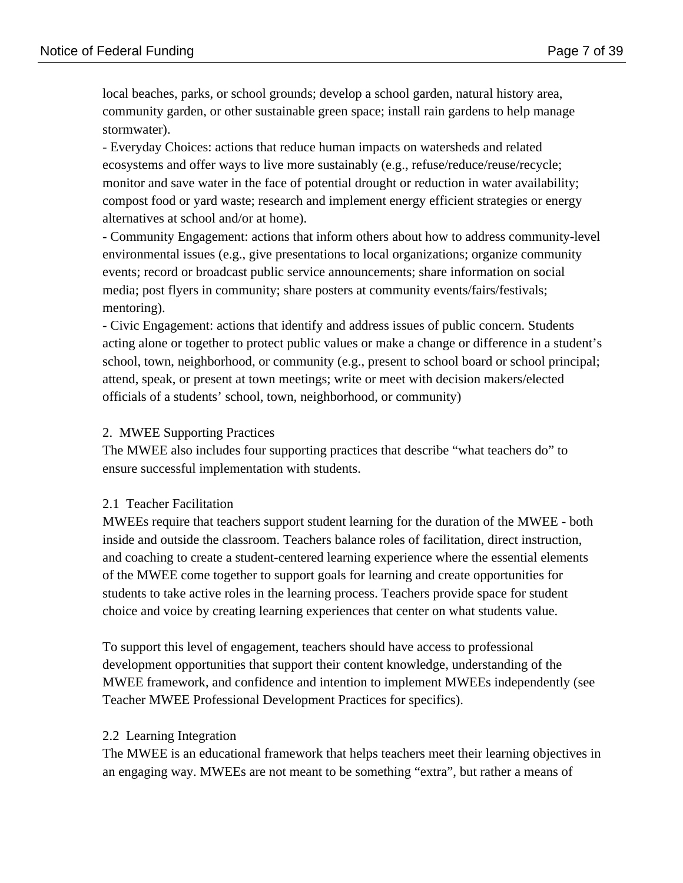local beaches, parks, or school grounds; develop a school garden, natural history area, community garden, or other sustainable green space; install rain gardens to help manage stormwater).

- Everyday Choices: actions that reduce human impacts on watersheds and related ecosystems and offer ways to live more sustainably (e.g., refuse/reduce/reuse/recycle; monitor and save water in the face of potential drought or reduction in water availability; compost food or yard waste; research and implement energy efficient strategies or energy alternatives at school and/or at home).

- Community Engagement: actions that inform others about how to address community-level environmental issues (e.g., give presentations to local organizations; organize community events; record or broadcast public service announcements; share information on social media; post flyers in community; share posters at community events/fairs/festivals; mentoring).

- Civic Engagement: actions that identify and address issues of public concern. Students acting alone or together to protect public values or make a change or difference in a student's school, town, neighborhood, or community (e.g., present to school board or school principal; attend, speak, or present at town meetings; write or meet with decision makers/elected officials of a students' school, town, neighborhood, or community)

### 2. MWEE Supporting Practices

The MWEE also includes four supporting practices that describe "what teachers do" to ensure successful implementation with students.

#### 2.1 Teacher Facilitation

MWEEs require that teachers support student learning for the duration of the MWEE - both inside and outside the classroom. Teachers balance roles of facilitation, direct instruction, and coaching to create a student-centered learning experience where the essential elements of the MWEE come together to support goals for learning and create opportunities for students to take active roles in the learning process. Teachers provide space for student choice and voice by creating learning experiences that center on what students value.

To support this level of engagement, teachers should have access to professional development opportunities that support their content knowledge, understanding of the MWEE framework, and confidence and intention to implement MWEEs independently (see Teacher MWEE Professional Development Practices for specifics).

#### 2.2 Learning Integration

The MWEE is an educational framework that helps teachers meet their learning objectives in an engaging way. MWEEs are not meant to be something "extra", but rather a means of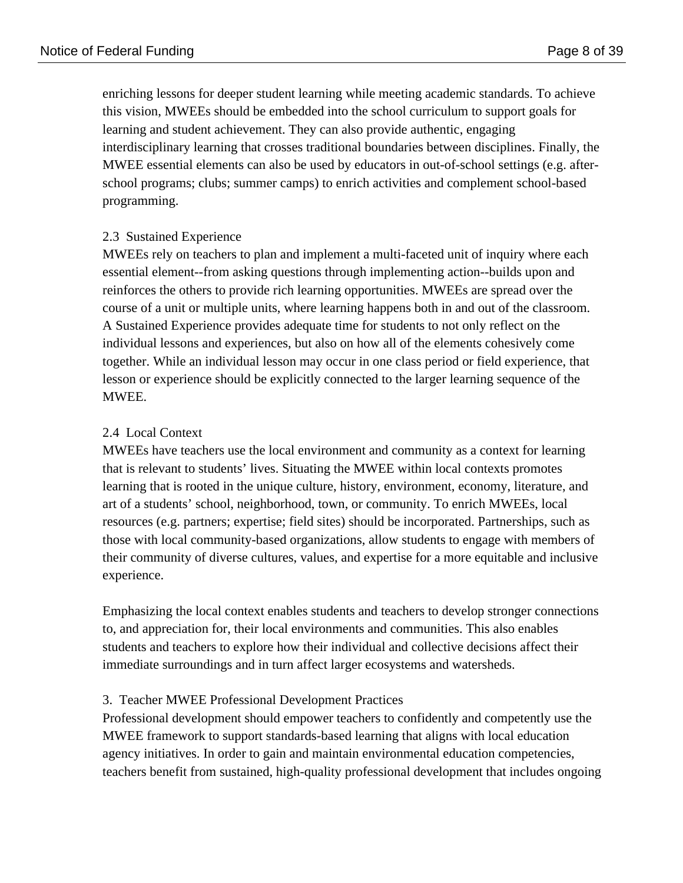enriching lessons for deeper student learning while meeting academic standards. To achieve this vision, MWEEs should be embedded into the school curriculum to support goals for learning and student achievement. They can also provide authentic, engaging interdisciplinary learning that crosses traditional boundaries between disciplines. Finally, the MWEE essential elements can also be used by educators in out-of-school settings (e.g. afterschool programs; clubs; summer camps) to enrich activities and complement school-based programming.

## 2.3 Sustained Experience

MWEEs rely on teachers to plan and implement a multi-faceted unit of inquiry where each essential element--from asking questions through implementing action--builds upon and reinforces the others to provide rich learning opportunities. MWEEs are spread over the course of a unit or multiple units, where learning happens both in and out of the classroom. A Sustained Experience provides adequate time for students to not only reflect on the individual lessons and experiences, but also on how all of the elements cohesively come together. While an individual lesson may occur in one class period or field experience, that lesson or experience should be explicitly connected to the larger learning sequence of the MWEE.

## 2.4 Local Context

MWEEs have teachers use the local environment and community as a context for learning that is relevant to students' lives. Situating the MWEE within local contexts promotes learning that is rooted in the unique culture, history, environment, economy, literature, and art of a students' school, neighborhood, town, or community. To enrich MWEEs, local resources (e.g. partners; expertise; field sites) should be incorporated. Partnerships, such as those with local community-based organizations, allow students to engage with members of their community of diverse cultures, values, and expertise for a more equitable and inclusive experience.

Emphasizing the local context enables students and teachers to develop stronger connections to, and appreciation for, their local environments and communities. This also enables students and teachers to explore how their individual and collective decisions affect their immediate surroundings and in turn affect larger ecosystems and watersheds.

#### 3. Teacher MWEE Professional Development Practices

Professional development should empower teachers to confidently and competently use the MWEE framework to support standards-based learning that aligns with local education agency initiatives. In order to gain and maintain environmental education competencies, teachers benefit from sustained, high-quality professional development that includes ongoing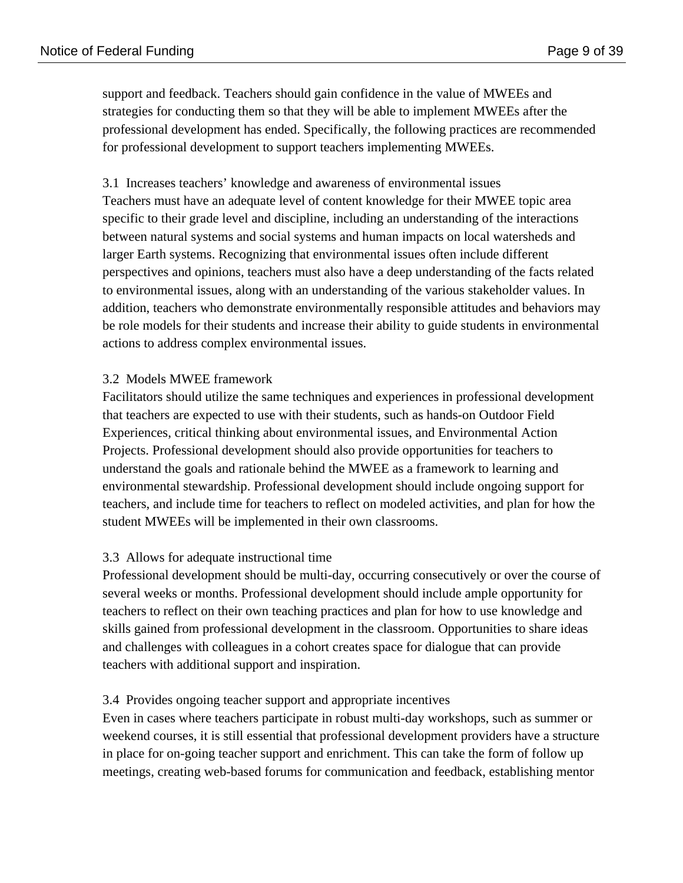support and feedback. Teachers should gain confidence in the value of MWEEs and strategies for conducting them so that they will be able to implement MWEEs after the professional development has ended. Specifically, the following practices are recommended for professional development to support teachers implementing MWEEs.

3.1 Increases teachers' knowledge and awareness of environmental issues Teachers must have an adequate level of content knowledge for their MWEE topic area specific to their grade level and discipline, including an understanding of the interactions between natural systems and social systems and human impacts on local watersheds and larger Earth systems. Recognizing that environmental issues often include different perspectives and opinions, teachers must also have a deep understanding of the facts related to environmental issues, along with an understanding of the various stakeholder values. In addition, teachers who demonstrate environmentally responsible attitudes and behaviors may be role models for their students and increase their ability to guide students in environmental actions to address complex environmental issues.

### 3.2 Models MWEE framework

Facilitators should utilize the same techniques and experiences in professional development that teachers are expected to use with their students, such as hands-on Outdoor Field Experiences, critical thinking about environmental issues, and Environmental Action Projects. Professional development should also provide opportunities for teachers to understand the goals and rationale behind the MWEE as a framework to learning and environmental stewardship. Professional development should include ongoing support for teachers, and include time for teachers to reflect on modeled activities, and plan for how the student MWEEs will be implemented in their own classrooms.

## 3.3 Allows for adequate instructional time

Professional development should be multi-day, occurring consecutively or over the course of several weeks or months. Professional development should include ample opportunity for teachers to reflect on their own teaching practices and plan for how to use knowledge and skills gained from professional development in the classroom. Opportunities to share ideas and challenges with colleagues in a cohort creates space for dialogue that can provide teachers with additional support and inspiration.

#### 3.4 Provides ongoing teacher support and appropriate incentives

Even in cases where teachers participate in robust multi-day workshops, such as summer or weekend courses, it is still essential that professional development providers have a structure in place for on-going teacher support and enrichment. This can take the form of follow up meetings, creating web-based forums for communication and feedback, establishing mentor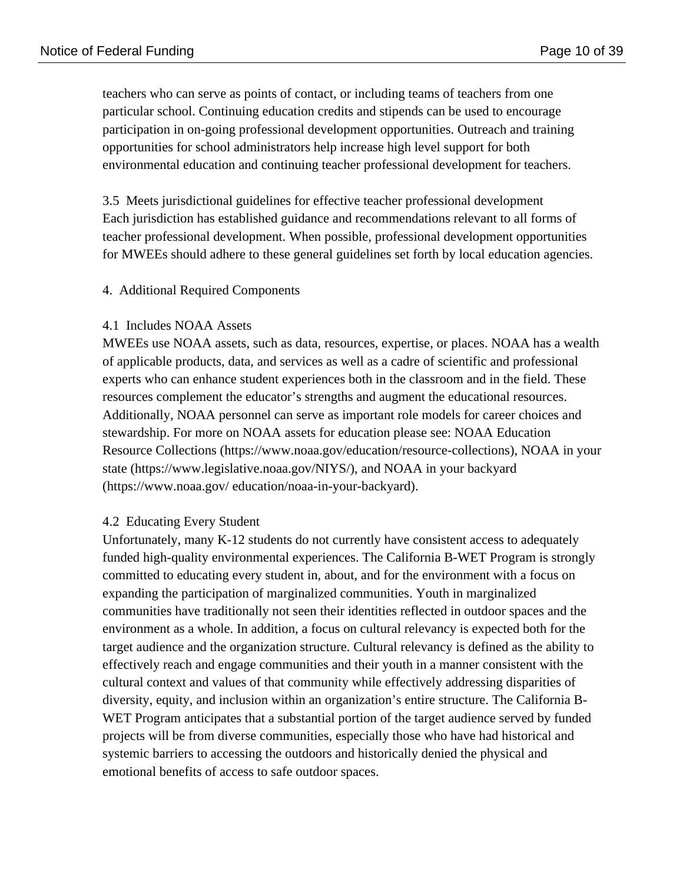teachers who can serve as points of contact, or including teams of teachers from one particular school. Continuing education credits and stipends can be used to encourage participation in on-going professional development opportunities. Outreach and training opportunities for school administrators help increase high level support for both environmental education and continuing teacher professional development for teachers.

3.5 Meets jurisdictional guidelines for effective teacher professional development Each jurisdiction has established guidance and recommendations relevant to all forms of teacher professional development. When possible, professional development opportunities for MWEEs should adhere to these general guidelines set forth by local education agencies.

#### 4. Additional Required Components

#### 4.1 Includes NOAA Assets

MWEEs use NOAA assets, such as data, resources, expertise, or places. NOAA has a wealth of applicable products, data, and services as well as a cadre of scientific and professional experts who can enhance student experiences both in the classroom and in the field. These resources complement the educator's strengths and augment the educational resources. Additionally, NOAA personnel can serve as important role models for career choices and stewardship. For more on NOAA assets for education please see: NOAA Education Resource Collections (https://www.noaa.gov/education/resource-collections), NOAA in your state (https://www.legislative.noaa.gov/NIYS/), and NOAA in your backyard (https://www.noaa.gov/ education/noaa-in-your-backyard).

#### 4.2 Educating Every Student

Unfortunately, many K-12 students do not currently have consistent access to adequately funded high-quality environmental experiences. The California B-WET Program is strongly committed to educating every student in, about, and for the environment with a focus on expanding the participation of marginalized communities. Youth in marginalized communities have traditionally not seen their identities reflected in outdoor spaces and the environment as a whole. In addition, a focus on cultural relevancy is expected both for the target audience and the organization structure. Cultural relevancy is defined as the ability to effectively reach and engage communities and their youth in a manner consistent with the cultural context and values of that community while effectively addressing disparities of diversity, equity, and inclusion within an organization's entire structure. The California B-WET Program anticipates that a substantial portion of the target audience served by funded projects will be from diverse communities, especially those who have had historical and systemic barriers to accessing the outdoors and historically denied the physical and emotional benefits of access to safe outdoor spaces.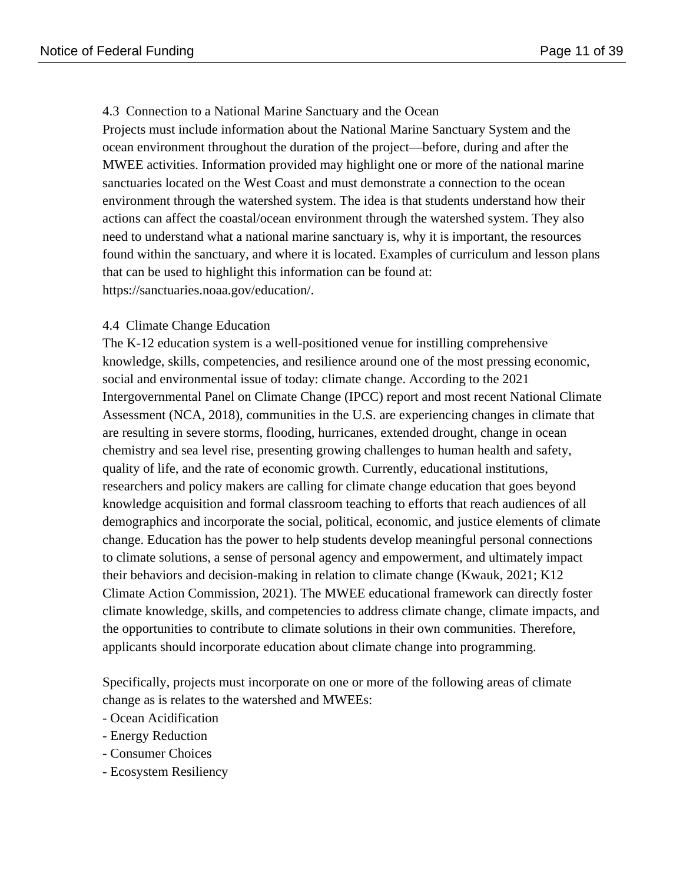#### 4.3 Connection to a National Marine Sanctuary and the Ocean

Projects must include information about the National Marine Sanctuary System and the ocean environment throughout the duration of the project—before, during and after the MWEE activities. Information provided may highlight one or more of the national marine sanctuaries located on the West Coast and must demonstrate a connection to the ocean environment through the watershed system. The idea is that students understand how their actions can affect the coastal/ocean environment through the watershed system. They also need to understand what a national marine sanctuary is, why it is important, the resources found within the sanctuary, and where it is located. Examples of curriculum and lesson plans that can be used to highlight this information can be found at: https://sanctuaries.noaa.gov/education/.

### 4.4 Climate Change Education

The K-12 education system is a well-positioned venue for instilling comprehensive knowledge, skills, competencies, and resilience around one of the most pressing economic, social and environmental issue of today: climate change. According to the 2021 Intergovernmental Panel on Climate Change (IPCC) report and most recent National Climate Assessment (NCA, 2018), communities in the U.S. are experiencing changes in climate that are resulting in severe storms, flooding, hurricanes, extended drought, change in ocean chemistry and sea level rise, presenting growing challenges to human health and safety, quality of life, and the rate of economic growth. Currently, educational institutions, researchers and policy makers are calling for climate change education that goes beyond knowledge acquisition and formal classroom teaching to efforts that reach audiences of all demographics and incorporate the social, political, economic, and justice elements of climate change. Education has the power to help students develop meaningful personal connections to climate solutions, a sense of personal agency and empowerment, and ultimately impact their behaviors and decision-making in relation to climate change (Kwauk, 2021; K12 Climate Action Commission, 2021). The MWEE educational framework can directly foster climate knowledge, skills, and competencies to address climate change, climate impacts, and the opportunities to contribute to climate solutions in their own communities. Therefore, applicants should incorporate education about climate change into programming.

Specifically, projects must incorporate on one or more of the following areas of climate change as is relates to the watershed and MWEEs:

- Ocean Acidification
- Energy Reduction
- Consumer Choices
- Ecosystem Resiliency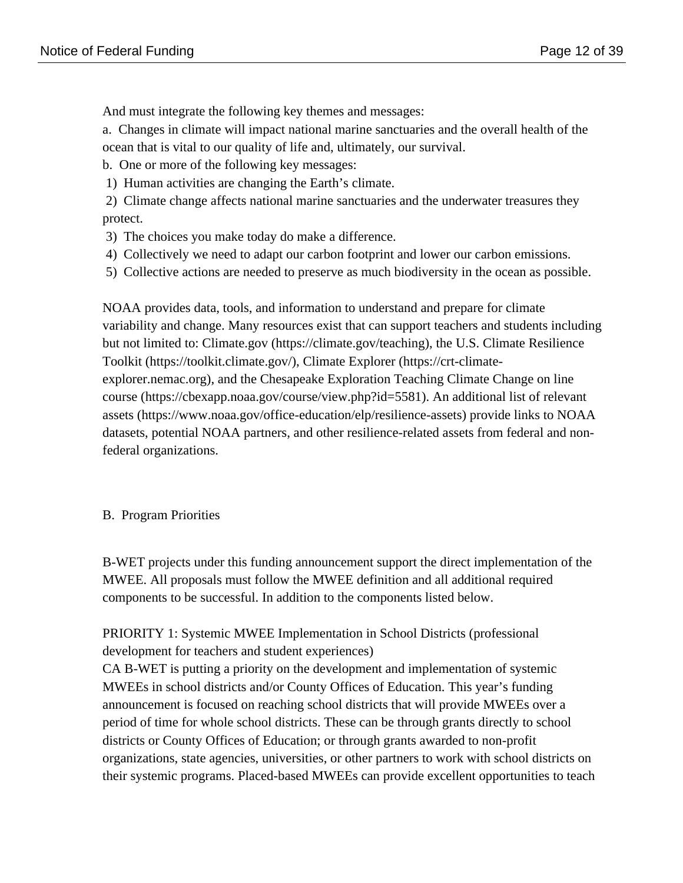And must integrate the following key themes and messages:

a. Changes in climate will impact national marine sanctuaries and the overall health of the ocean that is vital to our quality of life and, ultimately, our survival.

b. One or more of the following key messages:

- 1) Human activities are changing the Earth's climate.
- 2) Climate change affects national marine sanctuaries and the underwater treasures they protect.
- 3) The choices you make today do make a difference.
- 4) Collectively we need to adapt our carbon footprint and lower our carbon emissions.
- 5) Collective actions are needed to preserve as much biodiversity in the ocean as possible.

NOAA provides data, tools, and information to understand and prepare for climate variability and change. Many resources exist that can support teachers and students including but not limited to: Climate.gov (https://climate.gov/teaching), the U.S. Climate Resilience Toolkit (https://toolkit.climate.gov/), Climate Explorer (https://crt-climateexplorer.nemac.org), and the Chesapeake Exploration Teaching Climate Change on line course (https://cbexapp.noaa.gov/course/view.php?id=5581). An additional list of relevant assets (https://www.noaa.gov/office-education/elp/resilience-assets) provide links to NOAA datasets, potential NOAA partners, and other resilience-related assets from federal and nonfederal organizations.

## B. Program Priorities

B-WET projects under this funding announcement support the direct implementation of the MWEE. All proposals must follow the MWEE definition and all additional required components to be successful. In addition to the components listed below.

## PRIORITY 1: Systemic MWEE Implementation in School Districts (professional development for teachers and student experiences)

CA B-WET is putting a priority on the development and implementation of systemic MWEEs in school districts and/or County Offices of Education. This year's funding announcement is focused on reaching school districts that will provide MWEEs over a period of time for whole school districts. These can be through grants directly to school districts or County Offices of Education; or through grants awarded to non-profit organizations, state agencies, universities, or other partners to work with school districts on their systemic programs. Placed-based MWEEs can provide excellent opportunities to teach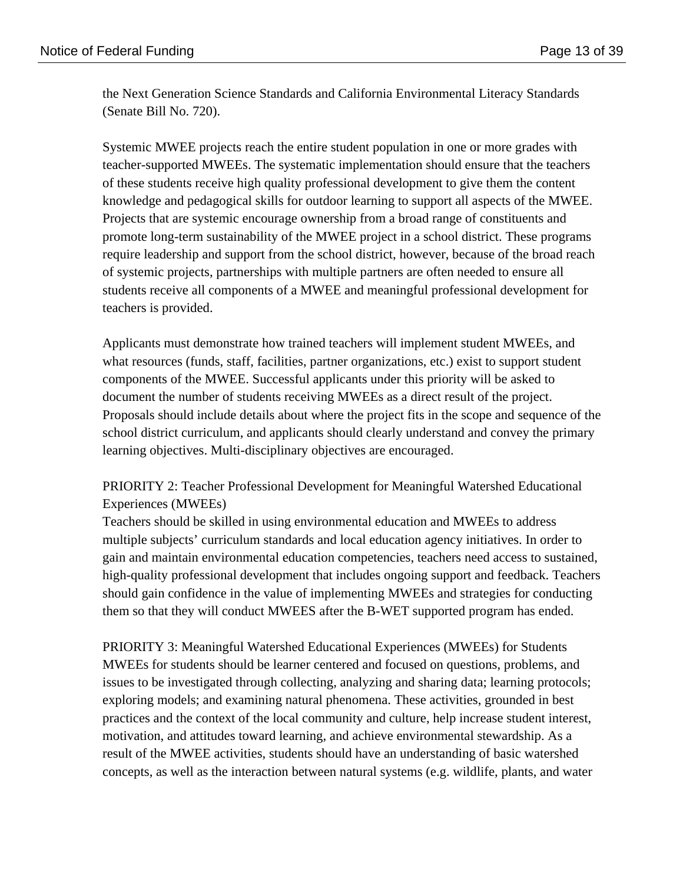the Next Generation Science Standards and California Environmental Literacy Standards (Senate Bill No. 720).

Systemic MWEE projects reach the entire student population in one or more grades with teacher-supported MWEEs. The systematic implementation should ensure that the teachers of these students receive high quality professional development to give them the content knowledge and pedagogical skills for outdoor learning to support all aspects of the MWEE. Projects that are systemic encourage ownership from a broad range of constituents and promote long-term sustainability of the MWEE project in a school district. These programs require leadership and support from the school district, however, because of the broad reach of systemic projects, partnerships with multiple partners are often needed to ensure all students receive all components of a MWEE and meaningful professional development for teachers is provided.

Applicants must demonstrate how trained teachers will implement student MWEEs, and what resources (funds, staff, facilities, partner organizations, etc.) exist to support student components of the MWEE. Successful applicants under this priority will be asked to document the number of students receiving MWEEs as a direct result of the project. Proposals should include details about where the project fits in the scope and sequence of the school district curriculum, and applicants should clearly understand and convey the primary learning objectives. Multi-disciplinary objectives are encouraged.

## PRIORITY 2: Teacher Professional Development for Meaningful Watershed Educational Experiences (MWEEs)

Teachers should be skilled in using environmental education and MWEEs to address multiple subjects' curriculum standards and local education agency initiatives. In order to gain and maintain environmental education competencies, teachers need access to sustained, high-quality professional development that includes ongoing support and feedback. Teachers should gain confidence in the value of implementing MWEEs and strategies for conducting them so that they will conduct MWEES after the B-WET supported program has ended.

PRIORITY 3: Meaningful Watershed Educational Experiences (MWEEs) for Students MWEEs for students should be learner centered and focused on questions, problems, and issues to be investigated through collecting, analyzing and sharing data; learning protocols; exploring models; and examining natural phenomena. These activities, grounded in best practices and the context of the local community and culture, help increase student interest, motivation, and attitudes toward learning, and achieve environmental stewardship. As a result of the MWEE activities, students should have an understanding of basic watershed concepts, as well as the interaction between natural systems (e.g. wildlife, plants, and water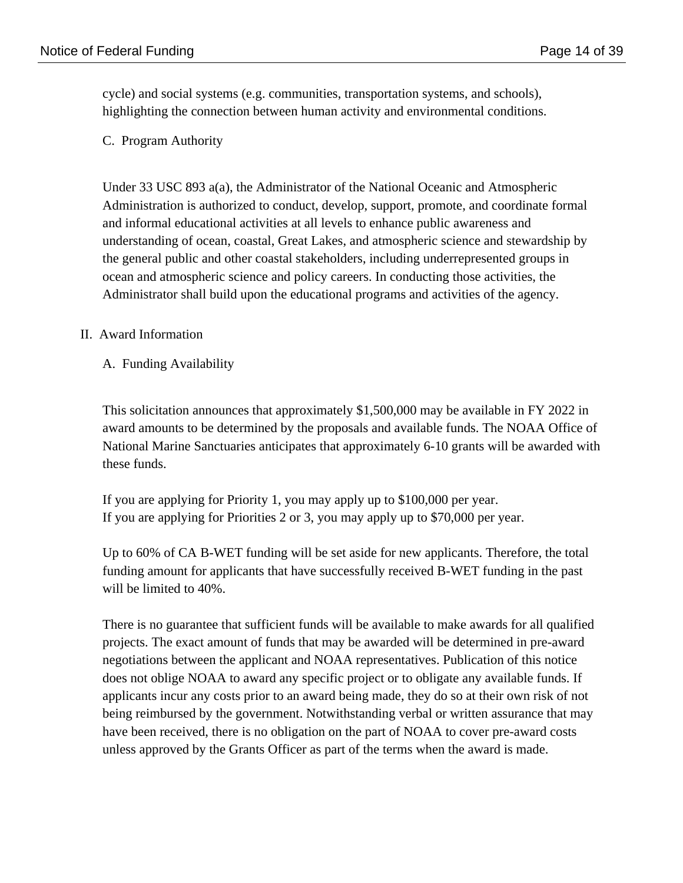cycle) and social systems (e.g. communities, transportation systems, and schools), highlighting the connection between human activity and environmental conditions.

### C. Program Authority

Under 33 USC 893 a(a), the Administrator of the National Oceanic and Atmospheric Administration is authorized to conduct, develop, support, promote, and coordinate formal and informal educational activities at all levels to enhance public awareness and understanding of ocean, coastal, Great Lakes, and atmospheric science and stewardship by the general public and other coastal stakeholders, including underrepresented groups in ocean and atmospheric science and policy careers. In conducting those activities, the Administrator shall build upon the educational programs and activities of the agency.

### II. Award Information

### A. Funding Availability

This solicitation announces that approximately \$1,500,000 may be available in FY 2022 in award amounts to be determined by the proposals and available funds. The NOAA Office of National Marine Sanctuaries anticipates that approximately 6-10 grants will be awarded with these funds.

If you are applying for Priority 1, you may apply up to \$100,000 per year. If you are applying for Priorities 2 or 3, you may apply up to \$70,000 per year.

Up to 60% of CA B-WET funding will be set aside for new applicants. Therefore, the total funding amount for applicants that have successfully received B-WET funding in the past will be limited to 40%.

There is no guarantee that sufficient funds will be available to make awards for all qualified projects. The exact amount of funds that may be awarded will be determined in pre-award negotiations between the applicant and NOAA representatives. Publication of this notice does not oblige NOAA to award any specific project or to obligate any available funds. If applicants incur any costs prior to an award being made, they do so at their own risk of not being reimbursed by the government. Notwithstanding verbal or written assurance that may have been received, there is no obligation on the part of NOAA to cover pre-award costs unless approved by the Grants Officer as part of the terms when the award is made.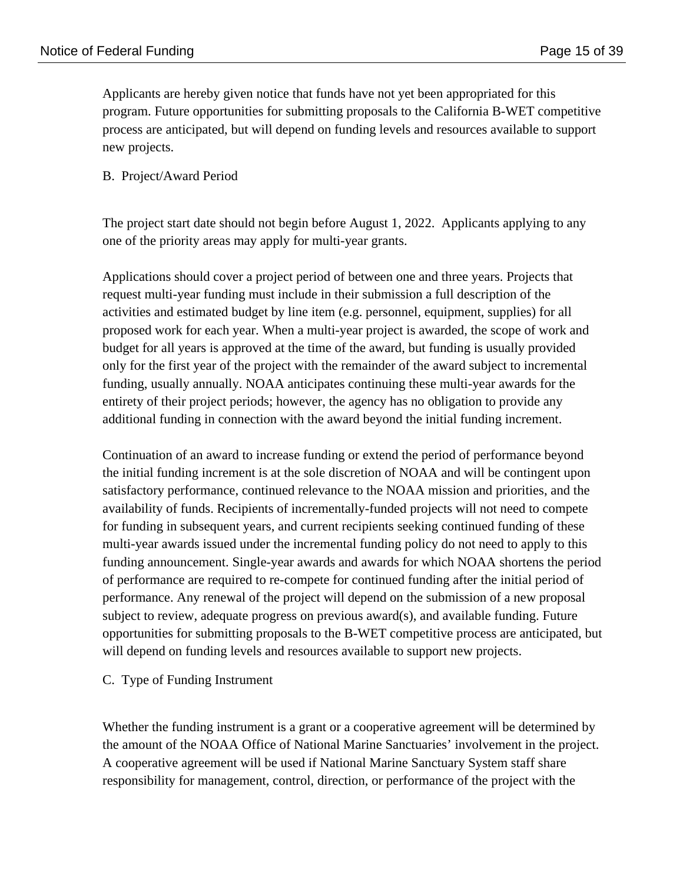Applicants are hereby given notice that funds have not yet been appropriated for this program. Future opportunities for submitting proposals to the California B-WET competitive process are anticipated, but will depend on funding levels and resources available to support new projects.

#### B. Project/Award Period

The project start date should not begin before August 1, 2022. Applicants applying to any one of the priority areas may apply for multi-year grants.

Applications should cover a project period of between one and three years. Projects that request multi-year funding must include in their submission a full description of the activities and estimated budget by line item (e.g. personnel, equipment, supplies) for all proposed work for each year. When a multi-year project is awarded, the scope of work and budget for all years is approved at the time of the award, but funding is usually provided only for the first year of the project with the remainder of the award subject to incremental funding, usually annually. NOAA anticipates continuing these multi-year awards for the entirety of their project periods; however, the agency has no obligation to provide any additional funding in connection with the award beyond the initial funding increment.

Continuation of an award to increase funding or extend the period of performance beyond the initial funding increment is at the sole discretion of NOAA and will be contingent upon satisfactory performance, continued relevance to the NOAA mission and priorities, and the availability of funds. Recipients of incrementally-funded projects will not need to compete for funding in subsequent years, and current recipients seeking continued funding of these multi-year awards issued under the incremental funding policy do not need to apply to this funding announcement. Single-year awards and awards for which NOAA shortens the period of performance are required to re-compete for continued funding after the initial period of performance. Any renewal of the project will depend on the submission of a new proposal subject to review, adequate progress on previous award(s), and available funding. Future opportunities for submitting proposals to the B-WET competitive process are anticipated, but will depend on funding levels and resources available to support new projects.

#### C. Type of Funding Instrument

Whether the funding instrument is a grant or a cooperative agreement will be determined by the amount of the NOAA Office of National Marine Sanctuaries' involvement in the project. A cooperative agreement will be used if National Marine Sanctuary System staff share responsibility for management, control, direction, or performance of the project with the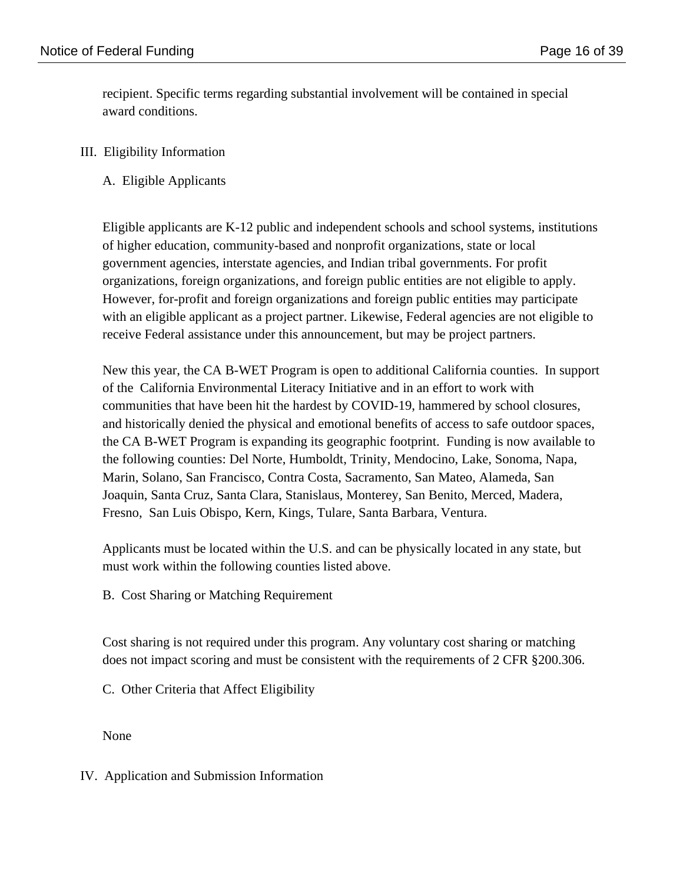recipient. Specific terms regarding substantial involvement will be contained in special award conditions.

## III. Eligibility Information

A. Eligible Applicants

Eligible applicants are K-12 public and independent schools and school systems, institutions of higher education, community-based and nonprofit organizations, state or local government agencies, interstate agencies, and Indian tribal governments. For profit organizations, foreign organizations, and foreign public entities are not eligible to apply. However, for-profit and foreign organizations and foreign public entities may participate with an eligible applicant as a project partner. Likewise, Federal agencies are not eligible to receive Federal assistance under this announcement, but may be project partners.

New this year, the CA B-WET Program is open to additional California counties. In support of the California Environmental Literacy Initiative and in an effort to work with communities that have been hit the hardest by COVID-19, hammered by school closures, and historically denied the physical and emotional benefits of access to safe outdoor spaces, the CA B-WET Program is expanding its geographic footprint. Funding is now available to the following counties: Del Norte, Humboldt, Trinity, Mendocino, Lake, Sonoma, Napa, Marin, Solano, San Francisco, Contra Costa, Sacramento, San Mateo, Alameda, San Joaquin, Santa Cruz, Santa Clara, Stanislaus, Monterey, San Benito, Merced, Madera, Fresno, San Luis Obispo, Kern, Kings, Tulare, Santa Barbara, Ventura.

Applicants must be located within the U.S. and can be physically located in any state, but must work within the following counties listed above.

B. Cost Sharing or Matching Requirement

Cost sharing is not required under this program. Any voluntary cost sharing or matching does not impact scoring and must be consistent with the requirements of 2 CFR §200.306.

C. Other Criteria that Affect Eligibility

None

IV. Application and Submission Information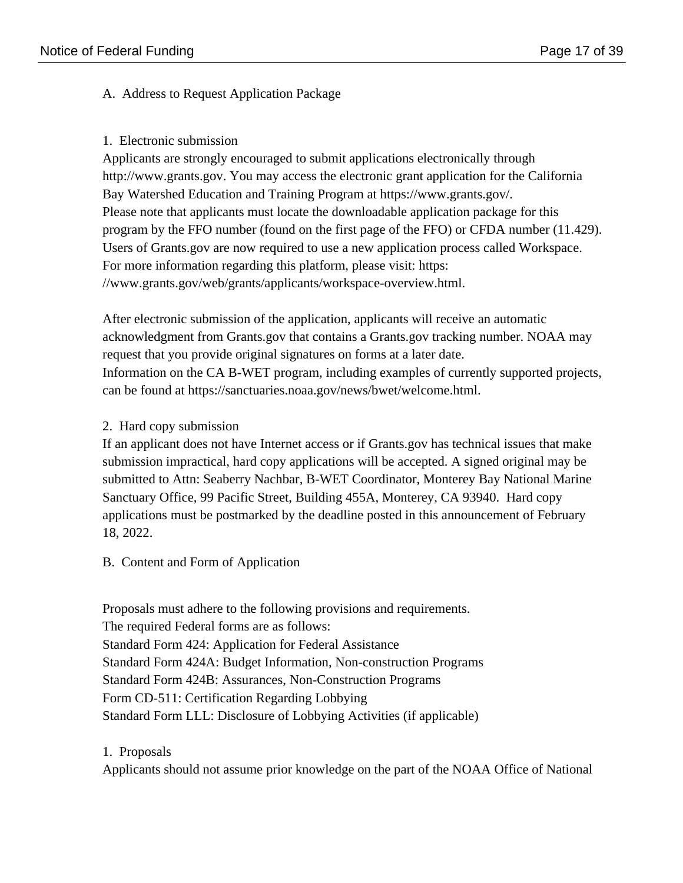## A. Address to Request Application Package

### 1. Electronic submission

Applicants are strongly encouraged to submit applications electronically through http://www.grants.gov. You may access the electronic grant application for the California Bay Watershed Education and Training Program at https://www.grants.gov/. Please note that applicants must locate the downloadable application package for this program by the FFO number (found on the first page of the FFO) or CFDA number (11.429). Users of Grants.gov are now required to use a new application process called Workspace. For more information regarding this platform, please visit: https: //www.grants.gov/web/grants/applicants/workspace-overview.html.

After electronic submission of the application, applicants will receive an automatic acknowledgment from Grants.gov that contains a Grants.gov tracking number. NOAA may request that you provide original signatures on forms at a later date. Information on the CA B-WET program, including examples of currently supported projects, can be found at https://sanctuaries.noaa.gov/news/bwet/welcome.html.

## 2. Hard copy submission

If an applicant does not have Internet access or if Grants.gov has technical issues that make submission impractical, hard copy applications will be accepted. A signed original may be submitted to Attn: Seaberry Nachbar, B-WET Coordinator, Monterey Bay National Marine Sanctuary Office, 99 Pacific Street, Building 455A, Monterey, CA 93940. Hard copy applications must be postmarked by the deadline posted in this announcement of February 18, 2022.

## B. Content and Form of Application

Proposals must adhere to the following provisions and requirements. The required Federal forms are as follows: Standard Form 424: Application for Federal Assistance Standard Form 424A: Budget Information, Non-construction Programs Standard Form 424B: Assurances, Non-Construction Programs Form CD-511: Certification Regarding Lobbying Standard Form LLL: Disclosure of Lobbying Activities (if applicable)

## 1. Proposals

Applicants should not assume prior knowledge on the part of the NOAA Office of National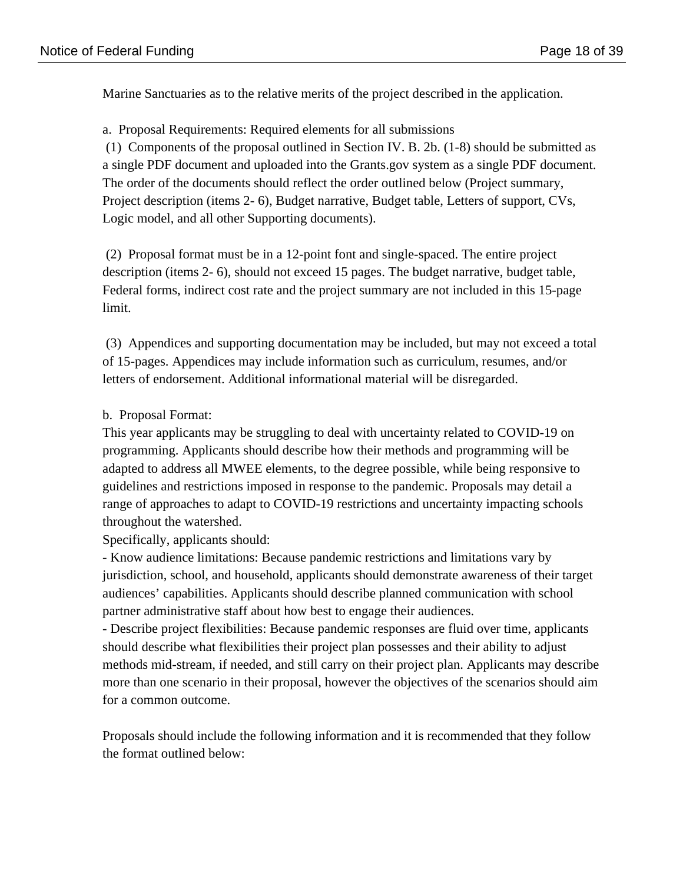Marine Sanctuaries as to the relative merits of the project described in the application.

a. Proposal Requirements: Required elements for all submissions (1) Components of the proposal outlined in Section IV. B. 2b. (1-8) should be submitted as a single PDF document and uploaded into the Grants.gov system as a single PDF document. The order of the documents should reflect the order outlined below (Project summary, Project description (items 2- 6), Budget narrative, Budget table, Letters of support, CVs, Logic model, and all other Supporting documents).

 (2) Proposal format must be in a 12-point font and single-spaced. The entire project description (items 2- 6), should not exceed 15 pages. The budget narrative, budget table, Federal forms, indirect cost rate and the project summary are not included in this 15-page limit.

 (3) Appendices and supporting documentation may be included, but may not exceed a total of 15-pages. Appendices may include information such as curriculum, resumes, and/or letters of endorsement. Additional informational material will be disregarded.

## b. Proposal Format:

This year applicants may be struggling to deal with uncertainty related to COVID-19 on programming. Applicants should describe how their methods and programming will be adapted to address all MWEE elements, to the degree possible, while being responsive to guidelines and restrictions imposed in response to the pandemic. Proposals may detail a range of approaches to adapt to COVID-19 restrictions and uncertainty impacting schools throughout the watershed.

Specifically, applicants should:

- Know audience limitations: Because pandemic restrictions and limitations vary by jurisdiction, school, and household, applicants should demonstrate awareness of their target audiences' capabilities. Applicants should describe planned communication with school partner administrative staff about how best to engage their audiences.

- Describe project flexibilities: Because pandemic responses are fluid over time, applicants should describe what flexibilities their project plan possesses and their ability to adjust methods mid-stream, if needed, and still carry on their project plan. Applicants may describe more than one scenario in their proposal, however the objectives of the scenarios should aim for a common outcome.

Proposals should include the following information and it is recommended that they follow the format outlined below: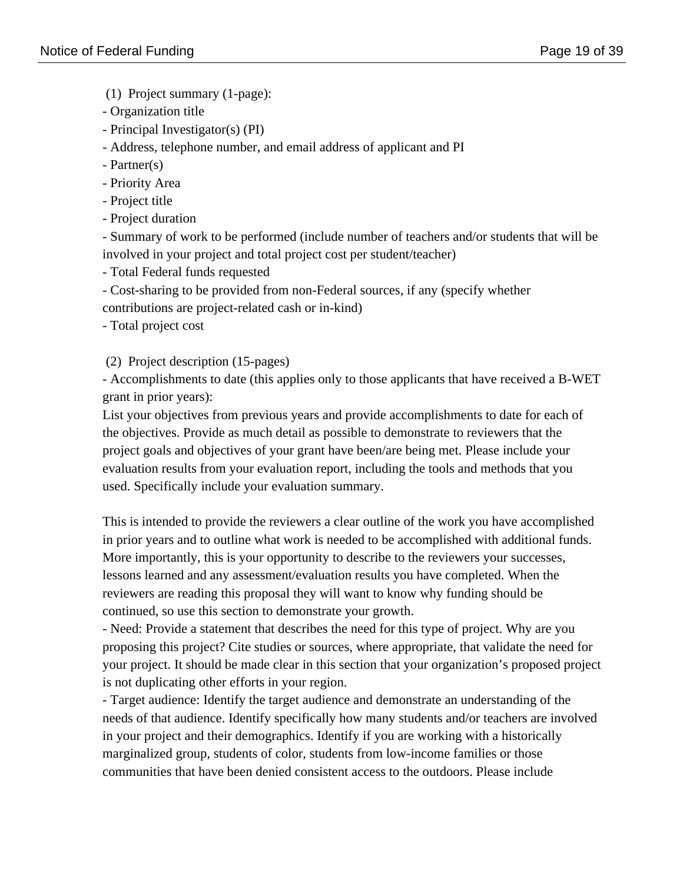(1) Project summary (1-page):

- Organization title
- Principal Investigator(s) (PI)

- Address, telephone number, and email address of applicant and PI

- Partner(s)
- Priority Area
- Project title
- Project duration

- Summary of work to be performed (include number of teachers and/or students that will be involved in your project and total project cost per student/teacher)

- Total Federal funds requested

- Cost-sharing to be provided from non-Federal sources, if any (specify whether contributions are project-related cash or in-kind)

- Total project cost

(2) Project description (15-pages)

- Accomplishments to date (this applies only to those applicants that have received a B-WET grant in prior years):

List your objectives from previous years and provide accomplishments to date for each of the objectives. Provide as much detail as possible to demonstrate to reviewers that the project goals and objectives of your grant have been/are being met. Please include your evaluation results from your evaluation report, including the tools and methods that you used. Specifically include your evaluation summary.

This is intended to provide the reviewers a clear outline of the work you have accomplished in prior years and to outline what work is needed to be accomplished with additional funds. More importantly, this is your opportunity to describe to the reviewers your successes, lessons learned and any assessment/evaluation results you have completed. When the reviewers are reading this proposal they will want to know why funding should be continued, so use this section to demonstrate your growth.

- Need: Provide a statement that describes the need for this type of project. Why are you proposing this project? Cite studies or sources, where appropriate, that validate the need for your project. It should be made clear in this section that your organization's proposed project is not duplicating other efforts in your region.

- Target audience: Identify the target audience and demonstrate an understanding of the needs of that audience. Identify specifically how many students and/or teachers are involved in your project and their demographics. Identify if you are working with a historically marginalized group, students of color, students from low-income families or those communities that have been denied consistent access to the outdoors. Please include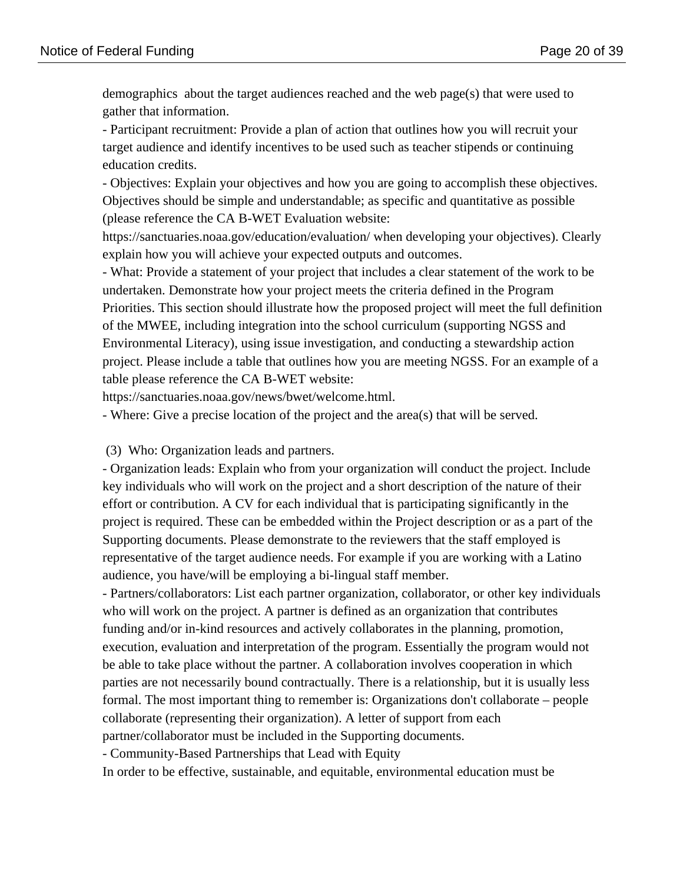demographics about the target audiences reached and the web page(s) that were used to gather that information.

- Participant recruitment: Provide a plan of action that outlines how you will recruit your target audience and identify incentives to be used such as teacher stipends or continuing education credits.

- Objectives: Explain your objectives and how you are going to accomplish these objectives. Objectives should be simple and understandable; as specific and quantitative as possible (please reference the CA B-WET Evaluation website:

https://sanctuaries.noaa.gov/education/evaluation/ when developing your objectives). Clearly explain how you will achieve your expected outputs and outcomes.

- What: Provide a statement of your project that includes a clear statement of the work to be undertaken. Demonstrate how your project meets the criteria defined in the Program Priorities. This section should illustrate how the proposed project will meet the full definition of the MWEE, including integration into the school curriculum (supporting NGSS and Environmental Literacy), using issue investigation, and conducting a stewardship action project. Please include a table that outlines how you are meeting NGSS. For an example of a table please reference the CA B-WET website:

https://sanctuaries.noaa.gov/news/bwet/welcome.html.

- Where: Give a precise location of the project and the area(s) that will be served.

(3) Who: Organization leads and partners.

- Organization leads: Explain who from your organization will conduct the project. Include key individuals who will work on the project and a short description of the nature of their effort or contribution. A CV for each individual that is participating significantly in the project is required. These can be embedded within the Project description or as a part of the Supporting documents. Please demonstrate to the reviewers that the staff employed is representative of the target audience needs. For example if you are working with a Latino audience, you have/will be employing a bi-lingual staff member.

- Partners/collaborators: List each partner organization, collaborator, or other key individuals who will work on the project. A partner is defined as an organization that contributes funding and/or in-kind resources and actively collaborates in the planning, promotion, execution, evaluation and interpretation of the program. Essentially the program would not be able to take place without the partner. A collaboration involves cooperation in which parties are not necessarily bound contractually. There is a relationship, but it is usually less formal. The most important thing to remember is: Organizations don't collaborate – people collaborate (representing their organization). A letter of support from each partner/collaborator must be included in the Supporting documents.

- Community-Based Partnerships that Lead with Equity

In order to be effective, sustainable, and equitable, environmental education must be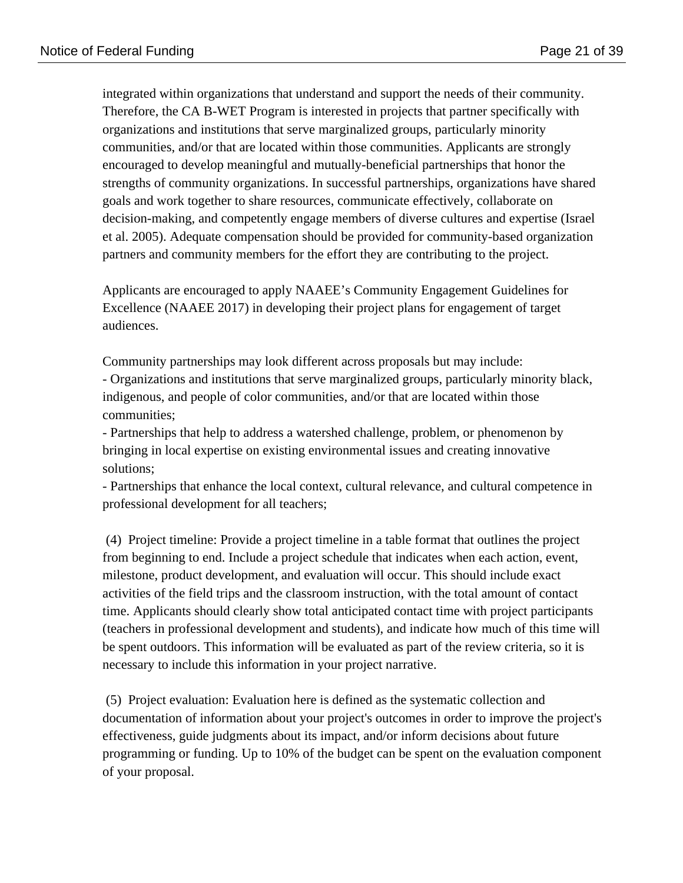integrated within organizations that understand and support the needs of their community. Therefore, the CA B-WET Program is interested in projects that partner specifically with organizations and institutions that serve marginalized groups, particularly minority communities, and/or that are located within those communities. Applicants are strongly encouraged to develop meaningful and mutually-beneficial partnerships that honor the strengths of community organizations. In successful partnerships, organizations have shared goals and work together to share resources, communicate effectively, collaborate on decision-making, and competently engage members of diverse cultures and expertise (Israel et al. 2005). Adequate compensation should be provided for community-based organization partners and community members for the effort they are contributing to the project.

Applicants are encouraged to apply NAAEE's Community Engagement Guidelines for Excellence (NAAEE 2017) in developing their project plans for engagement of target audiences.

Community partnerships may look different across proposals but may include:

- Organizations and institutions that serve marginalized groups, particularly minority black, indigenous, and people of color communities, and/or that are located within those communities;

- Partnerships that help to address a watershed challenge, problem, or phenomenon by bringing in local expertise on existing environmental issues and creating innovative solutions;

- Partnerships that enhance the local context, cultural relevance, and cultural competence in professional development for all teachers;

 (4) Project timeline: Provide a project timeline in a table format that outlines the project from beginning to end. Include a project schedule that indicates when each action, event, milestone, product development, and evaluation will occur. This should include exact activities of the field trips and the classroom instruction, with the total amount of contact time. Applicants should clearly show total anticipated contact time with project participants (teachers in professional development and students), and indicate how much of this time will be spent outdoors. This information will be evaluated as part of the review criteria, so it is necessary to include this information in your project narrative.

 (5) Project evaluation: Evaluation here is defined as the systematic collection and documentation of information about your project's outcomes in order to improve the project's effectiveness, guide judgments about its impact, and/or inform decisions about future programming or funding. Up to 10% of the budget can be spent on the evaluation component of your proposal.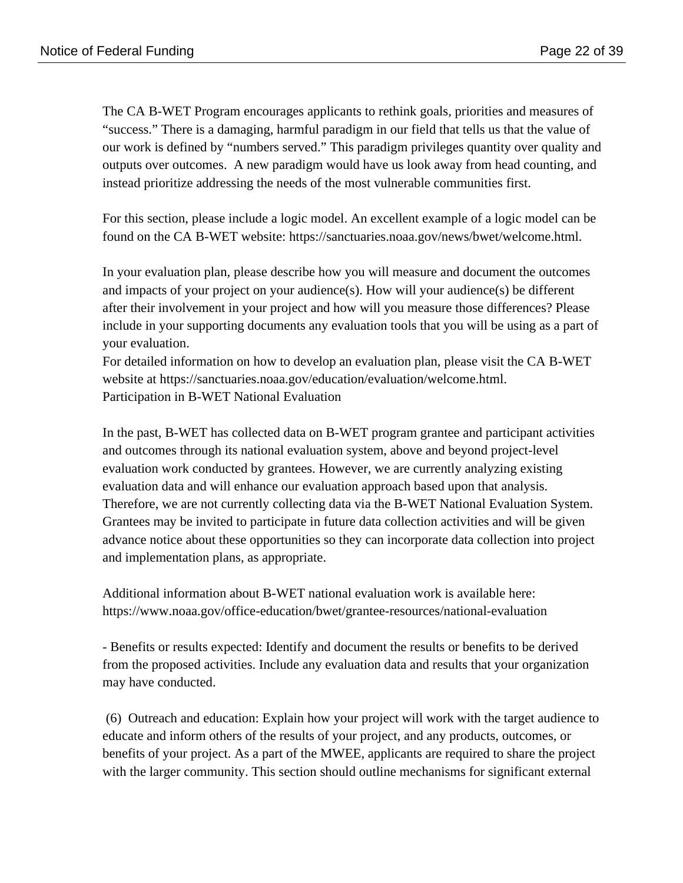The CA B-WET Program encourages applicants to rethink goals, priorities and measures of "success." There is a damaging, harmful paradigm in our field that tells us that the value of our work is defined by "numbers served." This paradigm privileges quantity over quality and outputs over outcomes. A new paradigm would have us look away from head counting, and instead prioritize addressing the needs of the most vulnerable communities first.

For this section, please include a logic model. An excellent example of a logic model can be found on the CA B-WET website: https://sanctuaries.noaa.gov/news/bwet/welcome.html.

In your evaluation plan, please describe how you will measure and document the outcomes and impacts of your project on your audience(s). How will your audience(s) be different after their involvement in your project and how will you measure those differences? Please include in your supporting documents any evaluation tools that you will be using as a part of your evaluation.

For detailed information on how to develop an evaluation plan, please visit the CA B-WET website at https://sanctuaries.noaa.gov/education/evaluation/welcome.html. Participation in B-WET National Evaluation

In the past, B-WET has collected data on B-WET program grantee and participant activities and outcomes through its national evaluation system, above and beyond project-level evaluation work conducted by grantees. However, we are currently analyzing existing evaluation data and will enhance our evaluation approach based upon that analysis. Therefore, we are not currently collecting data via the B-WET National Evaluation System. Grantees may be invited to participate in future data collection activities and will be given advance notice about these opportunities so they can incorporate data collection into project and implementation plans, as appropriate.

Additional information about B-WET national evaluation work is available here: https://www.noaa.gov/office-education/bwet/grantee-resources/national-evaluation

- Benefits or results expected: Identify and document the results or benefits to be derived from the proposed activities. Include any evaluation data and results that your organization may have conducted.

 (6) Outreach and education: Explain how your project will work with the target audience to educate and inform others of the results of your project, and any products, outcomes, or benefits of your project. As a part of the MWEE, applicants are required to share the project with the larger community. This section should outline mechanisms for significant external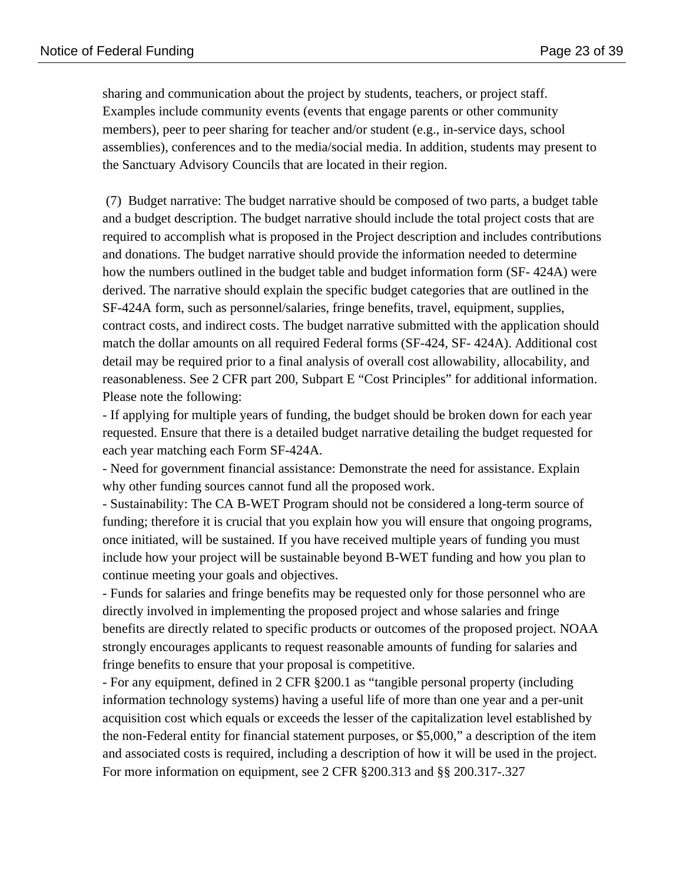sharing and communication about the project by students, teachers, or project staff. Examples include community events (events that engage parents or other community members), peer to peer sharing for teacher and/or student (e.g., in-service days, school assemblies), conferences and to the media/social media. In addition, students may present to the Sanctuary Advisory Councils that are located in their region.

 (7) Budget narrative: The budget narrative should be composed of two parts, a budget table and a budget description. The budget narrative should include the total project costs that are required to accomplish what is proposed in the Project description and includes contributions and donations. The budget narrative should provide the information needed to determine how the numbers outlined in the budget table and budget information form (SF- 424A) were derived. The narrative should explain the specific budget categories that are outlined in the SF-424A form, such as personnel/salaries, fringe benefits, travel, equipment, supplies, contract costs, and indirect costs. The budget narrative submitted with the application should match the dollar amounts on all required Federal forms (SF-424, SF- 424A). Additional cost detail may be required prior to a final analysis of overall cost allowability, allocability, and reasonableness. See 2 CFR part 200, Subpart E "Cost Principles" for additional information. Please note the following:

- If applying for multiple years of funding, the budget should be broken down for each year requested. Ensure that there is a detailed budget narrative detailing the budget requested for each year matching each Form SF-424A.

- Need for government financial assistance: Demonstrate the need for assistance. Explain why other funding sources cannot fund all the proposed work.

- Sustainability: The CA B-WET Program should not be considered a long-term source of funding; therefore it is crucial that you explain how you will ensure that ongoing programs, once initiated, will be sustained. If you have received multiple years of funding you must include how your project will be sustainable beyond B-WET funding and how you plan to continue meeting your goals and objectives.

- Funds for salaries and fringe benefits may be requested only for those personnel who are directly involved in implementing the proposed project and whose salaries and fringe benefits are directly related to specific products or outcomes of the proposed project. NOAA strongly encourages applicants to request reasonable amounts of funding for salaries and fringe benefits to ensure that your proposal is competitive.

- For any equipment, defined in 2 CFR §200.1 as "tangible personal property (including information technology systems) having a useful life of more than one year and a per-unit acquisition cost which equals or exceeds the lesser of the capitalization level established by the non-Federal entity for financial statement purposes, or \$5,000," a description of the item and associated costs is required, including a description of how it will be used in the project. For more information on equipment, see 2 CFR §200.313 and §§ 200.317-.327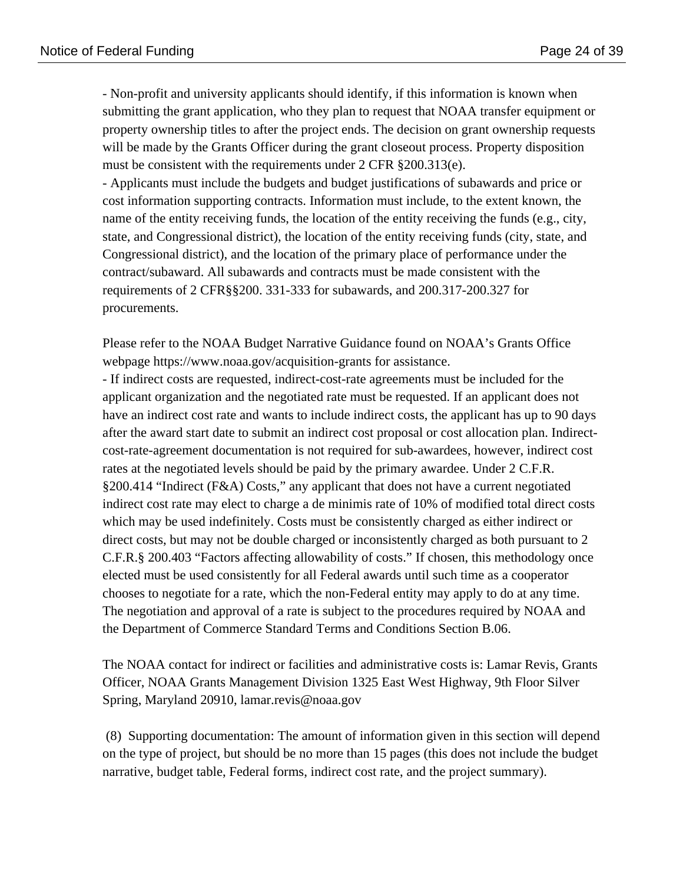- Non-profit and university applicants should identify, if this information is known when submitting the grant application, who they plan to request that NOAA transfer equipment or property ownership titles to after the project ends. The decision on grant ownership requests will be made by the Grants Officer during the grant closeout process. Property disposition must be consistent with the requirements under 2 CFR §200.313(e).

- Applicants must include the budgets and budget justifications of subawards and price or cost information supporting contracts. Information must include, to the extent known, the name of the entity receiving funds, the location of the entity receiving the funds (e.g., city, state, and Congressional district), the location of the entity receiving funds (city, state, and Congressional district), and the location of the primary place of performance under the contract/subaward. All subawards and contracts must be made consistent with the requirements of 2 CFR§§200. 331-333 for subawards, and 200.317-200.327 for procurements.

Please refer to the NOAA Budget Narrative Guidance found on NOAA's Grants Office webpage https://www.noaa.gov/acquisition-grants for assistance.

- If indirect costs are requested, indirect-cost-rate agreements must be included for the applicant organization and the negotiated rate must be requested. If an applicant does not have an indirect cost rate and wants to include indirect costs, the applicant has up to 90 days after the award start date to submit an indirect cost proposal or cost allocation plan. Indirectcost-rate-agreement documentation is not required for sub-awardees, however, indirect cost rates at the negotiated levels should be paid by the primary awardee. Under 2 C.F.R. §200.414 "Indirect (F&A) Costs," any applicant that does not have a current negotiated indirect cost rate may elect to charge a de minimis rate of 10% of modified total direct costs which may be used indefinitely. Costs must be consistently charged as either indirect or direct costs, but may not be double charged or inconsistently charged as both pursuant to 2 C.F.R.§ 200.403 "Factors affecting allowability of costs." If chosen, this methodology once elected must be used consistently for all Federal awards until such time as a cooperator chooses to negotiate for a rate, which the non-Federal entity may apply to do at any time. The negotiation and approval of a rate is subject to the procedures required by NOAA and the Department of Commerce Standard Terms and Conditions Section B.06.

The NOAA contact for indirect or facilities and administrative costs is: Lamar Revis, Grants Officer, NOAA Grants Management Division 1325 East West Highway, 9th Floor Silver Spring, Maryland 20910, lamar.revis@noaa.gov

 (8) Supporting documentation: The amount of information given in this section will depend on the type of project, but should be no more than 15 pages (this does not include the budget narrative, budget table, Federal forms, indirect cost rate, and the project summary).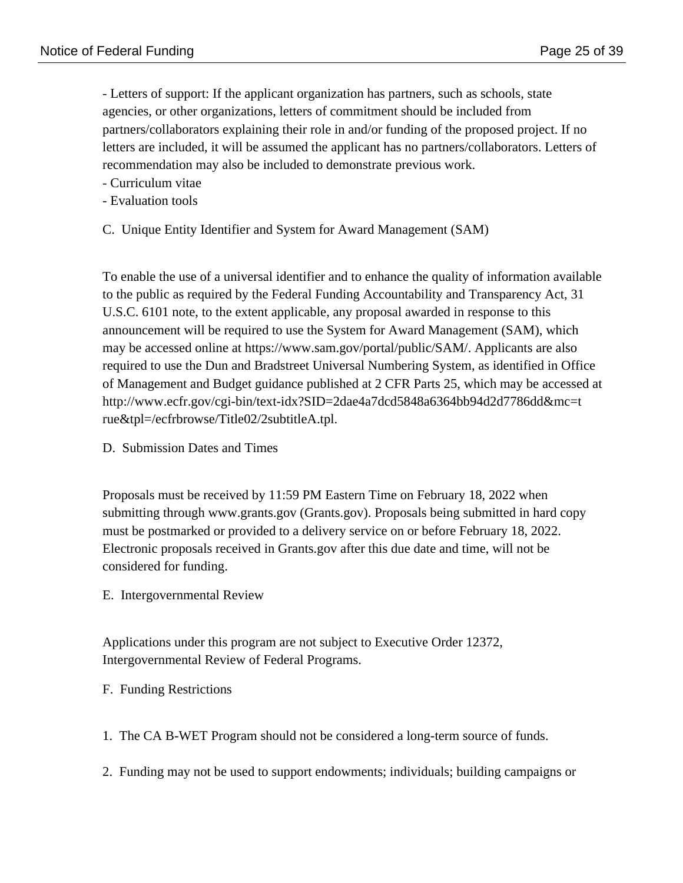- Letters of support: If the applicant organization has partners, such as schools, state agencies, or other organizations, letters of commitment should be included from partners/collaborators explaining their role in and/or funding of the proposed project. If no letters are included, it will be assumed the applicant has no partners/collaborators. Letters of recommendation may also be included to demonstrate previous work.

- Curriculum vitae
- Evaluation tools
- C. Unique Entity Identifier and System for Award Management (SAM)

To enable the use of a universal identifier and to enhance the quality of information available to the public as required by the Federal Funding Accountability and Transparency Act, 31 U.S.C. 6101 note, to the extent applicable, any proposal awarded in response to this announcement will be required to use the System for Award Management (SAM), which may be accessed online at https://www.sam.gov/portal/public/SAM/. Applicants are also required to use the Dun and Bradstreet Universal Numbering System, as identified in Office of Management and Budget guidance published at 2 CFR Parts 25, which may be accessed at http://www.ecfr.gov/cgi-bin/text-idx?SID=2dae4a7dcd5848a6364bb94d2d7786dd&mc=t rue&tpl=/ecfrbrowse/Title02/2subtitleA.tpl.

D. Submission Dates and Times

Proposals must be received by 11:59 PM Eastern Time on February 18, 2022 when submitting through www.grants.gov (Grants.gov). Proposals being submitted in hard copy must be postmarked or provided to a delivery service on or before February 18, 2022. Electronic proposals received in Grants.gov after this due date and time, will not be considered for funding.

E. Intergovernmental Review

Applications under this program are not subject to Executive Order 12372, Intergovernmental Review of Federal Programs.

F. Funding Restrictions

1. The CA B-WET Program should not be considered a long-term source of funds.

2. Funding may not be used to support endowments; individuals; building campaigns or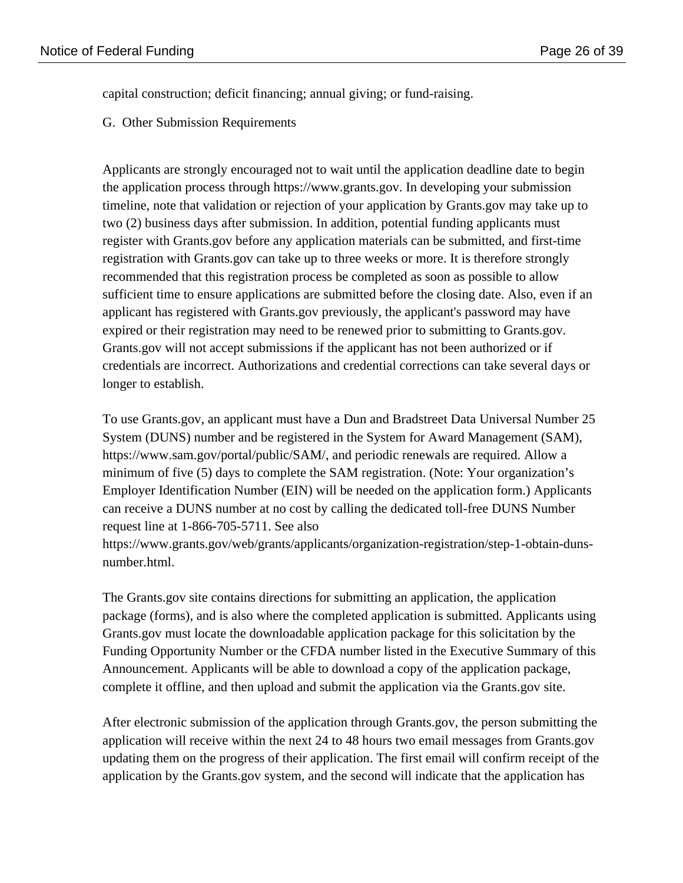capital construction; deficit financing; annual giving; or fund-raising.

G. Other Submission Requirements

Applicants are strongly encouraged not to wait until the application deadline date to begin the application process through https://www.grants.gov. In developing your submission timeline, note that validation or rejection of your application by Grants.gov may take up to two (2) business days after submission. In addition, potential funding applicants must register with Grants.gov before any application materials can be submitted, and first-time registration with Grants.gov can take up to three weeks or more. It is therefore strongly recommended that this registration process be completed as soon as possible to allow sufficient time to ensure applications are submitted before the closing date. Also, even if an applicant has registered with Grants.gov previously, the applicant's password may have expired or their registration may need to be renewed prior to submitting to Grants.gov. Grants.gov will not accept submissions if the applicant has not been authorized or if credentials are incorrect. Authorizations and credential corrections can take several days or longer to establish.

To use Grants.gov, an applicant must have a Dun and Bradstreet Data Universal Number 25 System (DUNS) number and be registered in the System for Award Management (SAM), https://www.sam.gov/portal/public/SAM/, and periodic renewals are required. Allow a minimum of five (5) days to complete the SAM registration. (Note: Your organization's Employer Identification Number (EIN) will be needed on the application form.) Applicants can receive a DUNS number at no cost by calling the dedicated toll-free DUNS Number request line at 1-866-705-5711. See also

https://www.grants.gov/web/grants/applicants/organization-registration/step-1-obtain-dunsnumber.html.

The Grants.gov site contains directions for submitting an application, the application package (forms), and is also where the completed application is submitted. Applicants using Grants.gov must locate the downloadable application package for this solicitation by the Funding Opportunity Number or the CFDA number listed in the Executive Summary of this Announcement. Applicants will be able to download a copy of the application package, complete it offline, and then upload and submit the application via the Grants.gov site.

After electronic submission of the application through Grants.gov, the person submitting the application will receive within the next 24 to 48 hours two email messages from Grants.gov updating them on the progress of their application. The first email will confirm receipt of the application by the Grants.gov system, and the second will indicate that the application has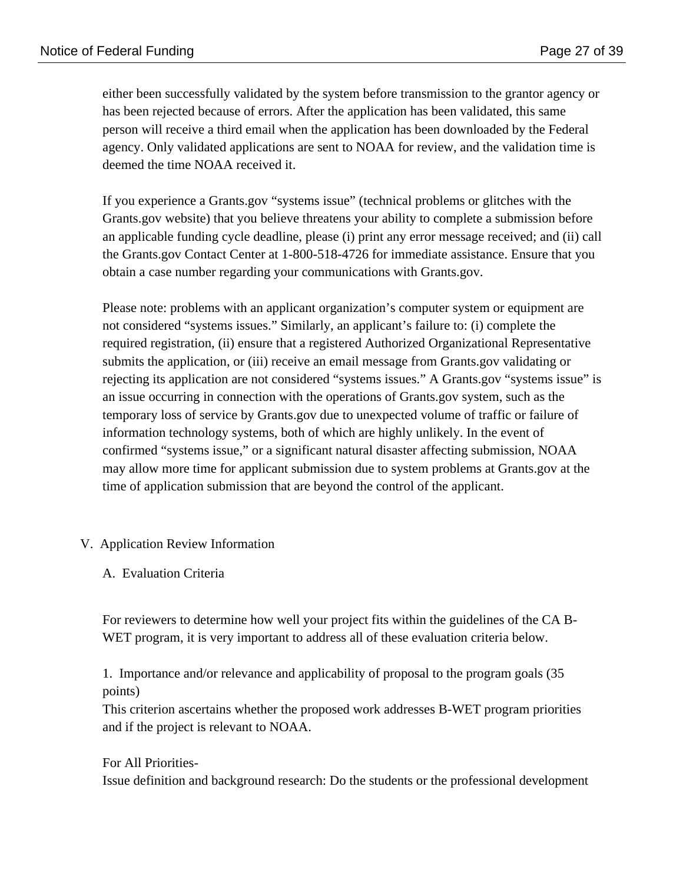either been successfully validated by the system before transmission to the grantor agency or has been rejected because of errors. After the application has been validated, this same person will receive a third email when the application has been downloaded by the Federal agency. Only validated applications are sent to NOAA for review, and the validation time is deemed the time NOAA received it.

If you experience a Grants.gov "systems issue" (technical problems or glitches with the Grants.gov website) that you believe threatens your ability to complete a submission before an applicable funding cycle deadline, please (i) print any error message received; and (ii) call the Grants.gov Contact Center at 1-800-518-4726 for immediate assistance. Ensure that you obtain a case number regarding your communications with Grants.gov.

Please note: problems with an applicant organization's computer system or equipment are not considered "systems issues." Similarly, an applicant's failure to: (i) complete the required registration, (ii) ensure that a registered Authorized Organizational Representative submits the application, or (iii) receive an email message from Grants.gov validating or rejecting its application are not considered "systems issues." A Grants.gov "systems issue" is an issue occurring in connection with the operations of Grants.gov system, such as the temporary loss of service by Grants.gov due to unexpected volume of traffic or failure of information technology systems, both of which are highly unlikely. In the event of confirmed "systems issue," or a significant natural disaster affecting submission, NOAA may allow more time for applicant submission due to system problems at Grants.gov at the time of application submission that are beyond the control of the applicant.

V. Application Review Information

A. Evaluation Criteria

For reviewers to determine how well your project fits within the guidelines of the CA B-WET program, it is very important to address all of these evaluation criteria below.

1. Importance and/or relevance and applicability of proposal to the program goals (35 points)

This criterion ascertains whether the proposed work addresses B-WET program priorities and if the project is relevant to NOAA.

For All Priorities-

Issue definition and background research: Do the students or the professional development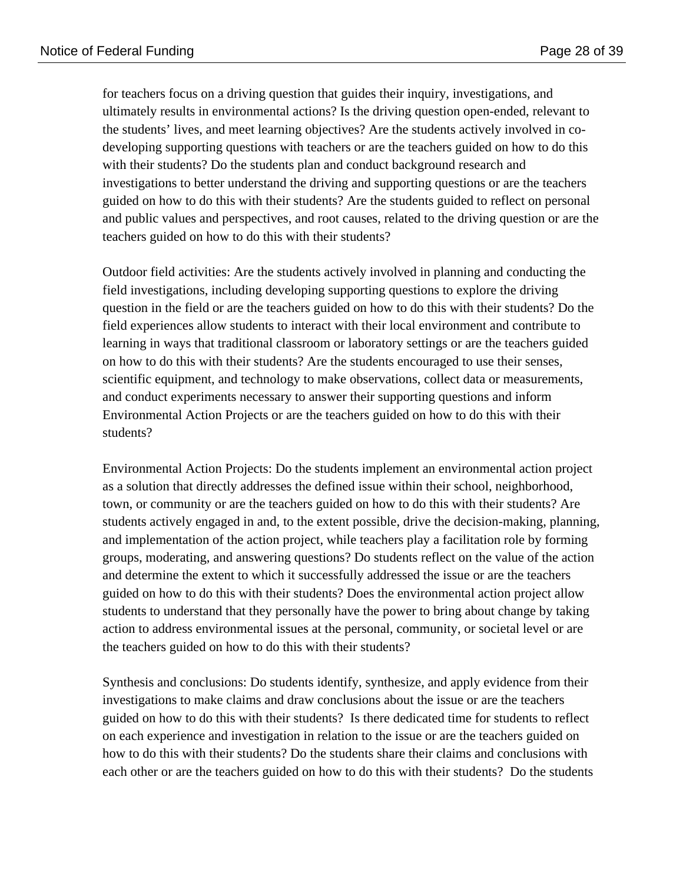for teachers focus on a driving question that guides their inquiry, investigations, and ultimately results in environmental actions? Is the driving question open-ended, relevant to the students' lives, and meet learning objectives? Are the students actively involved in codeveloping supporting questions with teachers or are the teachers guided on how to do this with their students? Do the students plan and conduct background research and investigations to better understand the driving and supporting questions or are the teachers guided on how to do this with their students? Are the students guided to reflect on personal and public values and perspectives, and root causes, related to the driving question or are the teachers guided on how to do this with their students?

Outdoor field activities: Are the students actively involved in planning and conducting the field investigations, including developing supporting questions to explore the driving question in the field or are the teachers guided on how to do this with their students? Do the field experiences allow students to interact with their local environment and contribute to learning in ways that traditional classroom or laboratory settings or are the teachers guided on how to do this with their students? Are the students encouraged to use their senses, scientific equipment, and technology to make observations, collect data or measurements, and conduct experiments necessary to answer their supporting questions and inform Environmental Action Projects or are the teachers guided on how to do this with their students?

Environmental Action Projects: Do the students implement an environmental action project as a solution that directly addresses the defined issue within their school, neighborhood, town, or community or are the teachers guided on how to do this with their students? Are students actively engaged in and, to the extent possible, drive the decision-making, planning, and implementation of the action project, while teachers play a facilitation role by forming groups, moderating, and answering questions? Do students reflect on the value of the action and determine the extent to which it successfully addressed the issue or are the teachers guided on how to do this with their students? Does the environmental action project allow students to understand that they personally have the power to bring about change by taking action to address environmental issues at the personal, community, or societal level or are the teachers guided on how to do this with their students?

Synthesis and conclusions: Do students identify, synthesize, and apply evidence from their investigations to make claims and draw conclusions about the issue or are the teachers guided on how to do this with their students? Is there dedicated time for students to reflect on each experience and investigation in relation to the issue or are the teachers guided on how to do this with their students? Do the students share their claims and conclusions with each other or are the teachers guided on how to do this with their students? Do the students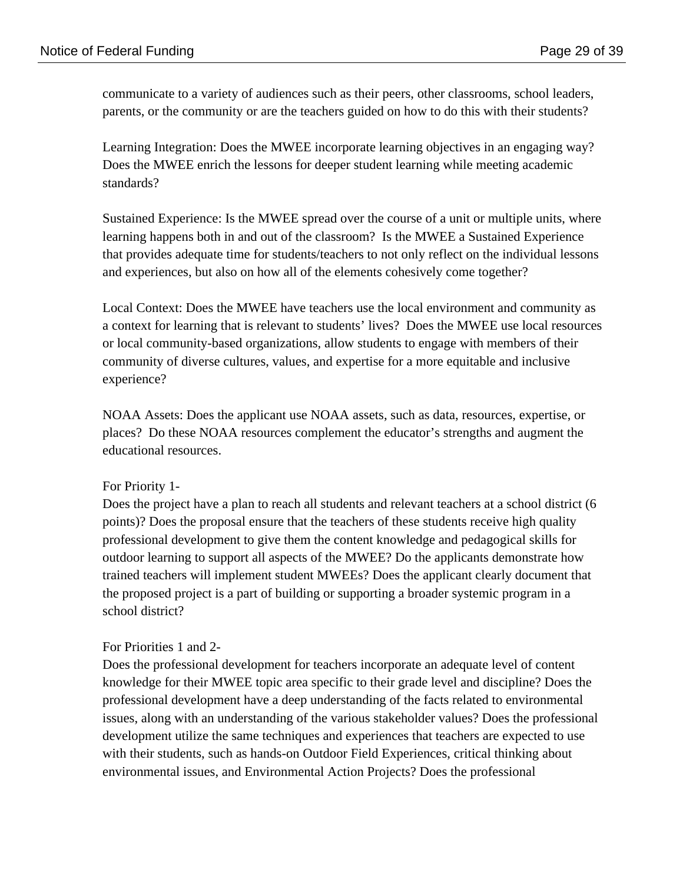communicate to a variety of audiences such as their peers, other classrooms, school leaders, parents, or the community or are the teachers guided on how to do this with their students?

Learning Integration: Does the MWEE incorporate learning objectives in an engaging way? Does the MWEE enrich the lessons for deeper student learning while meeting academic standards?

Sustained Experience: Is the MWEE spread over the course of a unit or multiple units, where learning happens both in and out of the classroom? Is the MWEE a Sustained Experience that provides adequate time for students/teachers to not only reflect on the individual lessons and experiences, but also on how all of the elements cohesively come together?

Local Context: Does the MWEE have teachers use the local environment and community as a context for learning that is relevant to students' lives? Does the MWEE use local resources or local community-based organizations, allow students to engage with members of their community of diverse cultures, values, and expertise for a more equitable and inclusive experience?

NOAA Assets: Does the applicant use NOAA assets, such as data, resources, expertise, or places? Do these NOAA resources complement the educator's strengths and augment the educational resources.

## For Priority 1-

Does the project have a plan to reach all students and relevant teachers at a school district (6 points)? Does the proposal ensure that the teachers of these students receive high quality professional development to give them the content knowledge and pedagogical skills for outdoor learning to support all aspects of the MWEE? Do the applicants demonstrate how trained teachers will implement student MWEEs? Does the applicant clearly document that the proposed project is a part of building or supporting a broader systemic program in a school district?

## For Priorities 1 and 2-

Does the professional development for teachers incorporate an adequate level of content knowledge for their MWEE topic area specific to their grade level and discipline? Does the professional development have a deep understanding of the facts related to environmental issues, along with an understanding of the various stakeholder values? Does the professional development utilize the same techniques and experiences that teachers are expected to use with their students, such as hands-on Outdoor Field Experiences, critical thinking about environmental issues, and Environmental Action Projects? Does the professional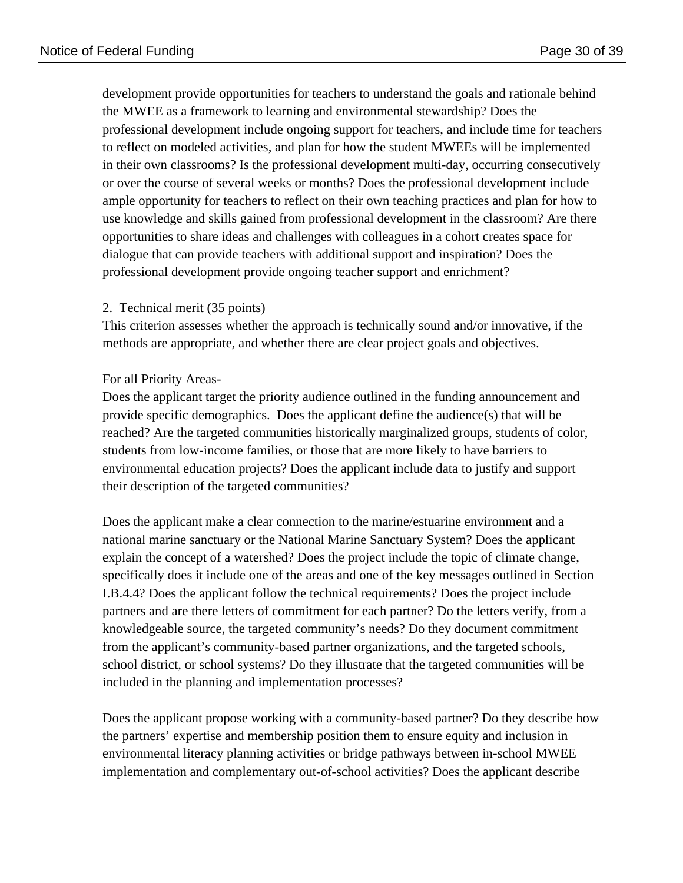development provide opportunities for teachers to understand the goals and rationale behind the MWEE as a framework to learning and environmental stewardship? Does the professional development include ongoing support for teachers, and include time for teachers to reflect on modeled activities, and plan for how the student MWEEs will be implemented in their own classrooms? Is the professional development multi-day, occurring consecutively or over the course of several weeks or months? Does the professional development include ample opportunity for teachers to reflect on their own teaching practices and plan for how to use knowledge and skills gained from professional development in the classroom? Are there opportunities to share ideas and challenges with colleagues in a cohort creates space for dialogue that can provide teachers with additional support and inspiration? Does the professional development provide ongoing teacher support and enrichment?

### 2. Technical merit (35 points)

This criterion assesses whether the approach is technically sound and/or innovative, if the methods are appropriate, and whether there are clear project goals and objectives.

### For all Priority Areas-

Does the applicant target the priority audience outlined in the funding announcement and provide specific demographics. Does the applicant define the audience(s) that will be reached? Are the targeted communities historically marginalized groups, students of color, students from low-income families, or those that are more likely to have barriers to environmental education projects? Does the applicant include data to justify and support their description of the targeted communities?

Does the applicant make a clear connection to the marine/estuarine environment and a national marine sanctuary or the National Marine Sanctuary System? Does the applicant explain the concept of a watershed? Does the project include the topic of climate change, specifically does it include one of the areas and one of the key messages outlined in Section I.B.4.4? Does the applicant follow the technical requirements? Does the project include partners and are there letters of commitment for each partner? Do the letters verify, from a knowledgeable source, the targeted community's needs? Do they document commitment from the applicant's community-based partner organizations, and the targeted schools, school district, or school systems? Do they illustrate that the targeted communities will be included in the planning and implementation processes?

Does the applicant propose working with a community-based partner? Do they describe how the partners' expertise and membership position them to ensure equity and inclusion in environmental literacy planning activities or bridge pathways between in-school MWEE implementation and complementary out-of-school activities? Does the applicant describe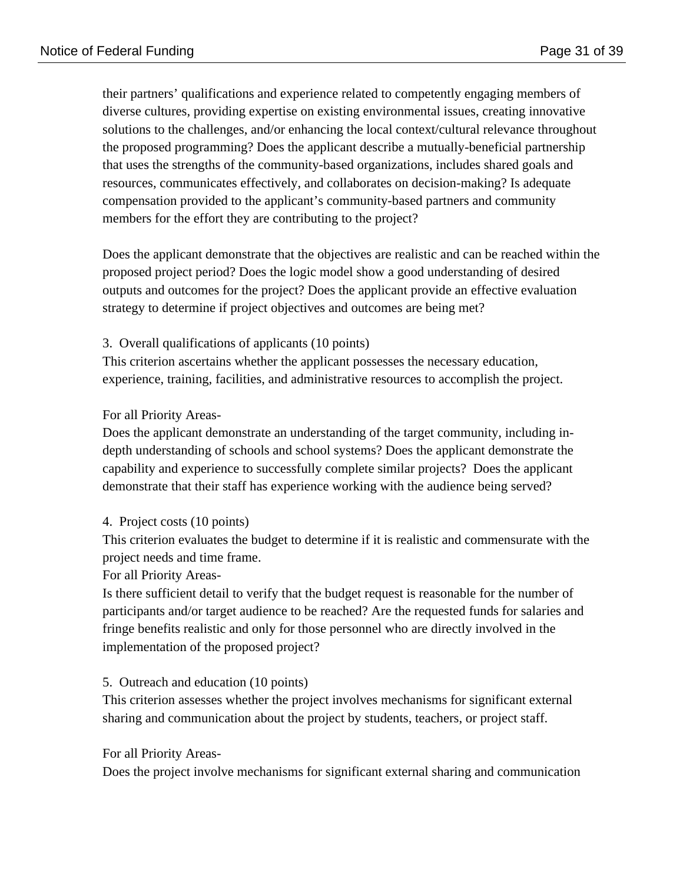their partners' qualifications and experience related to competently engaging members of diverse cultures, providing expertise on existing environmental issues, creating innovative solutions to the challenges, and/or enhancing the local context/cultural relevance throughout the proposed programming? Does the applicant describe a mutually-beneficial partnership that uses the strengths of the community-based organizations, includes shared goals and resources, communicates effectively, and collaborates on decision-making? Is adequate compensation provided to the applicant's community-based partners and community members for the effort they are contributing to the project?

Does the applicant demonstrate that the objectives are realistic and can be reached within the proposed project period? Does the logic model show a good understanding of desired outputs and outcomes for the project? Does the applicant provide an effective evaluation strategy to determine if project objectives and outcomes are being met?

3. Overall qualifications of applicants (10 points)

This criterion ascertains whether the applicant possesses the necessary education, experience, training, facilities, and administrative resources to accomplish the project.

### For all Priority Areas-

Does the applicant demonstrate an understanding of the target community, including indepth understanding of schools and school systems? Does the applicant demonstrate the capability and experience to successfully complete similar projects? Does the applicant demonstrate that their staff has experience working with the audience being served?

#### 4. Project costs (10 points)

This criterion evaluates the budget to determine if it is realistic and commensurate with the project needs and time frame.

For all Priority Areas-

Is there sufficient detail to verify that the budget request is reasonable for the number of participants and/or target audience to be reached? Are the requested funds for salaries and fringe benefits realistic and only for those personnel who are directly involved in the implementation of the proposed project?

#### 5. Outreach and education (10 points)

This criterion assesses whether the project involves mechanisms for significant external sharing and communication about the project by students, teachers, or project staff.

#### For all Priority Areas-

Does the project involve mechanisms for significant external sharing and communication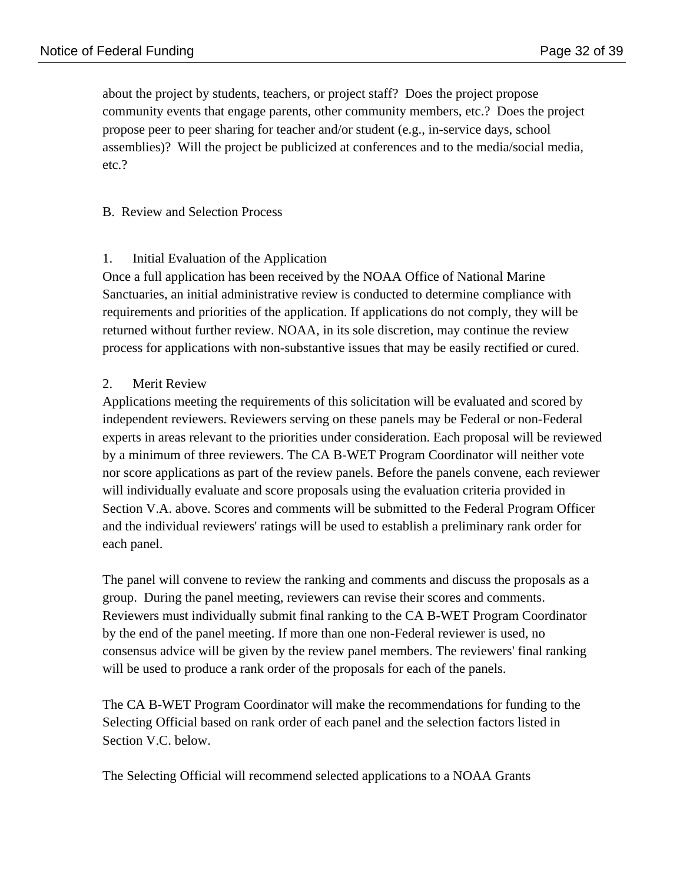about the project by students, teachers, or project staff? Does the project propose community events that engage parents, other community members, etc.? Does the project propose peer to peer sharing for teacher and/or student (e.g., in-service days, school assemblies)? Will the project be publicized at conferences and to the media/social media, etc.?

### B. Review and Selection Process

### 1. Initial Evaluation of the Application

Once a full application has been received by the NOAA Office of National Marine Sanctuaries, an initial administrative review is conducted to determine compliance with requirements and priorities of the application. If applications do not comply, they will be returned without further review. NOAA, in its sole discretion, may continue the review process for applications with non-substantive issues that may be easily rectified or cured.

### 2. Merit Review

Applications meeting the requirements of this solicitation will be evaluated and scored by independent reviewers. Reviewers serving on these panels may be Federal or non-Federal experts in areas relevant to the priorities under consideration. Each proposal will be reviewed by a minimum of three reviewers. The CA B-WET Program Coordinator will neither vote nor score applications as part of the review panels. Before the panels convene, each reviewer will individually evaluate and score proposals using the evaluation criteria provided in Section V.A. above. Scores and comments will be submitted to the Federal Program Officer and the individual reviewers' ratings will be used to establish a preliminary rank order for each panel.

The panel will convene to review the ranking and comments and discuss the proposals as a group. During the panel meeting, reviewers can revise their scores and comments. Reviewers must individually submit final ranking to the CA B-WET Program Coordinator by the end of the panel meeting. If more than one non-Federal reviewer is used, no consensus advice will be given by the review panel members. The reviewers' final ranking will be used to produce a rank order of the proposals for each of the panels.

The CA B-WET Program Coordinator will make the recommendations for funding to the Selecting Official based on rank order of each panel and the selection factors listed in Section V.C. below.

The Selecting Official will recommend selected applications to a NOAA Grants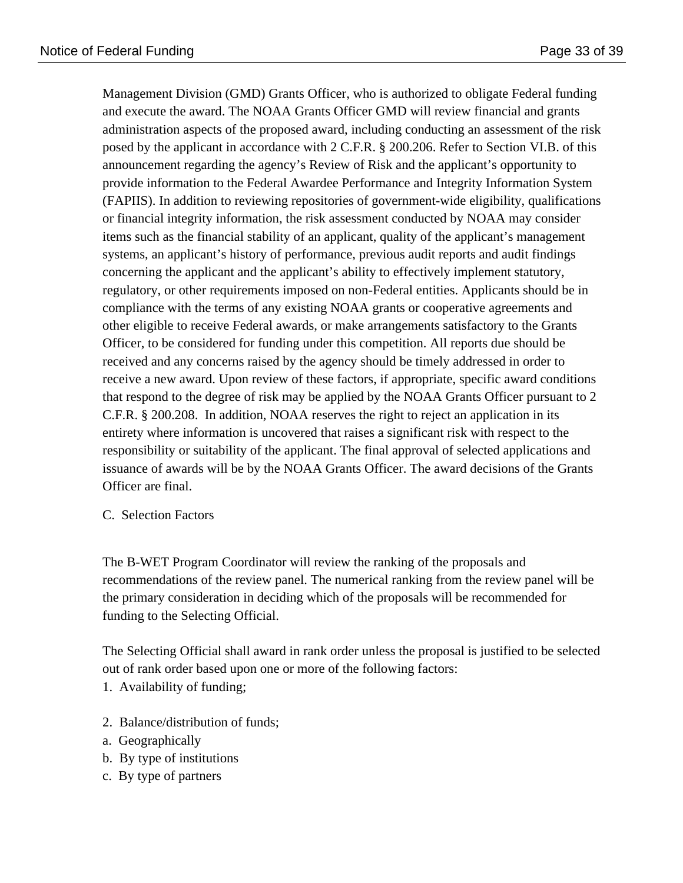Management Division (GMD) Grants Officer, who is authorized to obligate Federal funding and execute the award. The NOAA Grants Officer GMD will review financial and grants administration aspects of the proposed award, including conducting an assessment of the risk posed by the applicant in accordance with 2 C.F.R. § 200.206. Refer to Section VI.B. of this announcement regarding the agency's Review of Risk and the applicant's opportunity to provide information to the Federal Awardee Performance and Integrity Information System (FAPIIS). In addition to reviewing repositories of government-wide eligibility, qualifications or financial integrity information, the risk assessment conducted by NOAA may consider items such as the financial stability of an applicant, quality of the applicant's management systems, an applicant's history of performance, previous audit reports and audit findings concerning the applicant and the applicant's ability to effectively implement statutory, regulatory, or other requirements imposed on non-Federal entities. Applicants should be in compliance with the terms of any existing NOAA grants or cooperative agreements and other eligible to receive Federal awards, or make arrangements satisfactory to the Grants Officer, to be considered for funding under this competition. All reports due should be received and any concerns raised by the agency should be timely addressed in order to receive a new award. Upon review of these factors, if appropriate, specific award conditions that respond to the degree of risk may be applied by the NOAA Grants Officer pursuant to 2 C.F.R. § 200.208. In addition, NOAA reserves the right to reject an application in its entirety where information is uncovered that raises a significant risk with respect to the responsibility or suitability of the applicant. The final approval of selected applications and issuance of awards will be by the NOAA Grants Officer. The award decisions of the Grants Officer are final.

C. Selection Factors

The B-WET Program Coordinator will review the ranking of the proposals and recommendations of the review panel. The numerical ranking from the review panel will be the primary consideration in deciding which of the proposals will be recommended for funding to the Selecting Official.

The Selecting Official shall award in rank order unless the proposal is justified to be selected out of rank order based upon one or more of the following factors:

- 1. Availability of funding;
- 2. Balance/distribution of funds;
- a. Geographically
- b. By type of institutions
- c. By type of partners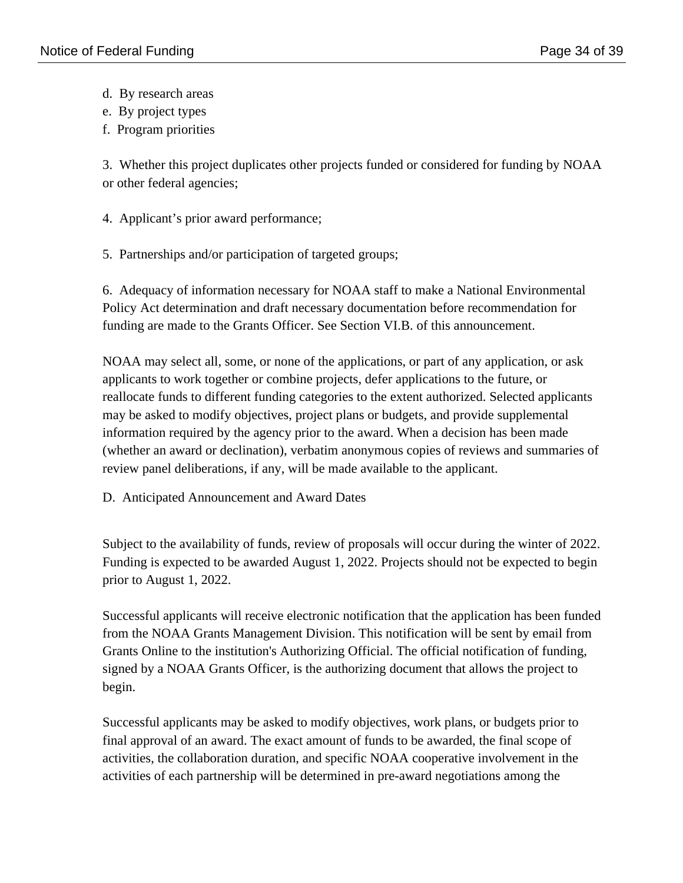- d. By research areas
- e. By project types
- f. Program priorities

3. Whether this project duplicates other projects funded or considered for funding by NOAA or other federal agencies;

- 4. Applicant's prior award performance;
- 5. Partnerships and/or participation of targeted groups;

6. Adequacy of information necessary for NOAA staff to make a National Environmental Policy Act determination and draft necessary documentation before recommendation for funding are made to the Grants Officer. See Section VI.B. of this announcement.

NOAA may select all, some, or none of the applications, or part of any application, or ask applicants to work together or combine projects, defer applications to the future, or reallocate funds to different funding categories to the extent authorized. Selected applicants may be asked to modify objectives, project plans or budgets, and provide supplemental information required by the agency prior to the award. When a decision has been made (whether an award or declination), verbatim anonymous copies of reviews and summaries of review panel deliberations, if any, will be made available to the applicant.

D. Anticipated Announcement and Award Dates

Subject to the availability of funds, review of proposals will occur during the winter of 2022. Funding is expected to be awarded August 1, 2022. Projects should not be expected to begin prior to August 1, 2022.

Successful applicants will receive electronic notification that the application has been funded from the NOAA Grants Management Division. This notification will be sent by email from Grants Online to the institution's Authorizing Official. The official notification of funding, signed by a NOAA Grants Officer, is the authorizing document that allows the project to begin.

Successful applicants may be asked to modify objectives, work plans, or budgets prior to final approval of an award. The exact amount of funds to be awarded, the final scope of activities, the collaboration duration, and specific NOAA cooperative involvement in the activities of each partnership will be determined in pre-award negotiations among the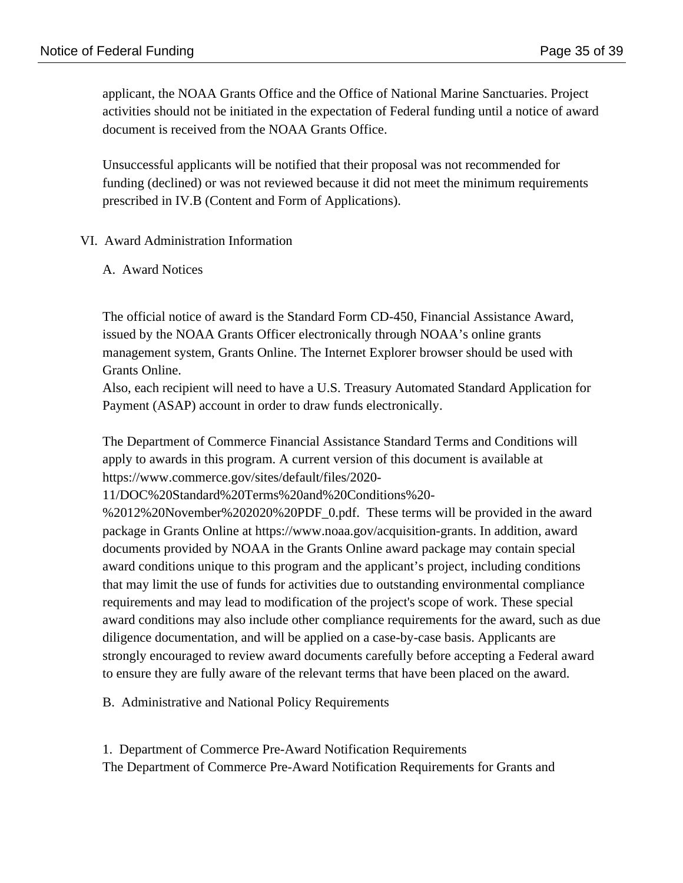applicant, the NOAA Grants Office and the Office of National Marine Sanctuaries. Project activities should not be initiated in the expectation of Federal funding until a notice of award document is received from the NOAA Grants Office.

Unsuccessful applicants will be notified that their proposal was not recommended for funding (declined) or was not reviewed because it did not meet the minimum requirements prescribed in IV.B (Content and Form of Applications).

#### VI. Award Administration Information

#### A. Award Notices

The official notice of award is the Standard Form CD-450, Financial Assistance Award, issued by the NOAA Grants Officer electronically through NOAA's online grants management system, Grants Online. The Internet Explorer browser should be used with Grants Online.

Also, each recipient will need to have a U.S. Treasury Automated Standard Application for Payment (ASAP) account in order to draw funds electronically.

The Department of Commerce Financial Assistance Standard Terms and Conditions will apply to awards in this program. A current version of this document is available at https://www.commerce.gov/sites/default/files/2020-

11/DOC%20Standard%20Terms%20and%20Conditions%20-

%2012%20November%202020%20PDF\_0.pdf. These terms will be provided in the award package in Grants Online at https://www.noaa.gov/acquisition-grants. In addition, award documents provided by NOAA in the Grants Online award package may contain special award conditions unique to this program and the applicant's project, including conditions that may limit the use of funds for activities due to outstanding environmental compliance requirements and may lead to modification of the project's scope of work. These special award conditions may also include other compliance requirements for the award, such as due diligence documentation, and will be applied on a case-by-case basis. Applicants are strongly encouraged to review award documents carefully before accepting a Federal award to ensure they are fully aware of the relevant terms that have been placed on the award.

B. Administrative and National Policy Requirements

1. Department of Commerce Pre-Award Notification Requirements The Department of Commerce Pre-Award Notification Requirements for Grants and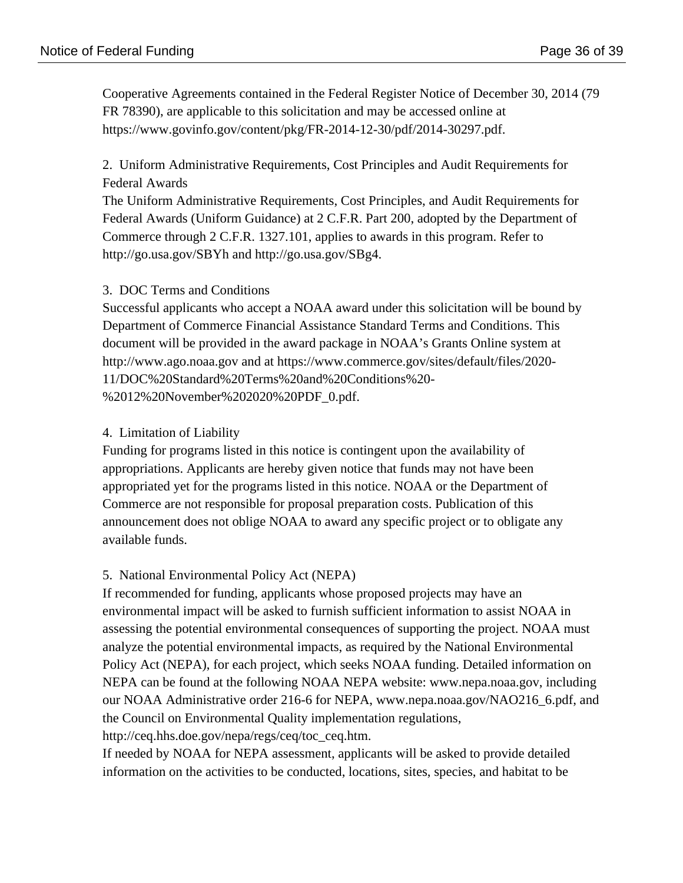Cooperative Agreements contained in the Federal Register Notice of December 30, 2014 (79 FR 78390), are applicable to this solicitation and may be accessed online at https://www.govinfo.gov/content/pkg/FR-2014-12-30/pdf/2014-30297.pdf.

2. Uniform Administrative Requirements, Cost Principles and Audit Requirements for Federal Awards

The Uniform Administrative Requirements, Cost Principles, and Audit Requirements for Federal Awards (Uniform Guidance) at 2 C.F.R. Part 200, adopted by the Department of Commerce through 2 C.F.R. 1327.101, applies to awards in this program. Refer to http://go.usa.gov/SBYh and http://go.usa.gov/SBg4.

### 3. DOC Terms and Conditions

Successful applicants who accept a NOAA award under this solicitation will be bound by Department of Commerce Financial Assistance Standard Terms and Conditions. This document will be provided in the award package in NOAA's Grants Online system at http://www.ago.noaa.gov and at https://www.commerce.gov/sites/default/files/2020- 11/DOC%20Standard%20Terms%20and%20Conditions%20- %2012%20November%202020%20PDF\_0.pdf.

### 4. Limitation of Liability

Funding for programs listed in this notice is contingent upon the availability of appropriations. Applicants are hereby given notice that funds may not have been appropriated yet for the programs listed in this notice. NOAA or the Department of Commerce are not responsible for proposal preparation costs. Publication of this announcement does not oblige NOAA to award any specific project or to obligate any available funds.

## 5. National Environmental Policy Act (NEPA)

If recommended for funding, applicants whose proposed projects may have an environmental impact will be asked to furnish sufficient information to assist NOAA in assessing the potential environmental consequences of supporting the project. NOAA must analyze the potential environmental impacts, as required by the National Environmental Policy Act (NEPA), for each project, which seeks NOAA funding. Detailed information on NEPA can be found at the following NOAA NEPA website: www.nepa.noaa.gov, including our NOAA Administrative order 216-6 for NEPA, www.nepa.noaa.gov/NAO216\_6.pdf, and the Council on Environmental Quality implementation regulations, http://ceq.hhs.doe.gov/nepa/regs/ceq/toc\_ceq.htm.

If needed by NOAA for NEPA assessment, applicants will be asked to provide detailed information on the activities to be conducted, locations, sites, species, and habitat to be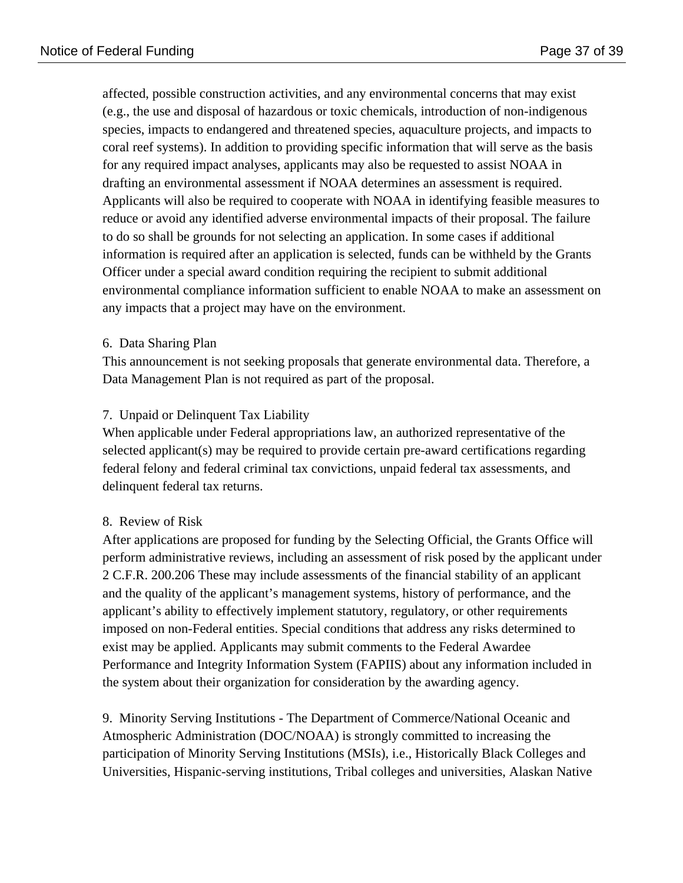affected, possible construction activities, and any environmental concerns that may exist (e.g., the use and disposal of hazardous or toxic chemicals, introduction of non-indigenous species, impacts to endangered and threatened species, aquaculture projects, and impacts to coral reef systems). In addition to providing specific information that will serve as the basis for any required impact analyses, applicants may also be requested to assist NOAA in drafting an environmental assessment if NOAA determines an assessment is required. Applicants will also be required to cooperate with NOAA in identifying feasible measures to reduce or avoid any identified adverse environmental impacts of their proposal. The failure to do so shall be grounds for not selecting an application. In some cases if additional information is required after an application is selected, funds can be withheld by the Grants Officer under a special award condition requiring the recipient to submit additional environmental compliance information sufficient to enable NOAA to make an assessment on any impacts that a project may have on the environment.

#### 6. Data Sharing Plan

This announcement is not seeking proposals that generate environmental data. Therefore, a Data Management Plan is not required as part of the proposal.

## 7. Unpaid or Delinquent Tax Liability

When applicable under Federal appropriations law, an authorized representative of the selected applicant(s) may be required to provide certain pre-award certifications regarding federal felony and federal criminal tax convictions, unpaid federal tax assessments, and delinquent federal tax returns.

#### 8. Review of Risk

After applications are proposed for funding by the Selecting Official, the Grants Office will perform administrative reviews, including an assessment of risk posed by the applicant under 2 C.F.R. 200.206 These may include assessments of the financial stability of an applicant and the quality of the applicant's management systems, history of performance, and the applicant's ability to effectively implement statutory, regulatory, or other requirements imposed on non-Federal entities. Special conditions that address any risks determined to exist may be applied. Applicants may submit comments to the Federal Awardee Performance and Integrity Information System (FAPIIS) about any information included in the system about their organization for consideration by the awarding agency.

9. Minority Serving Institutions - The Department of Commerce/National Oceanic and Atmospheric Administration (DOC/NOAA) is strongly committed to increasing the participation of Minority Serving Institutions (MSIs), i.e., Historically Black Colleges and Universities, Hispanic-serving institutions, Tribal colleges and universities, Alaskan Native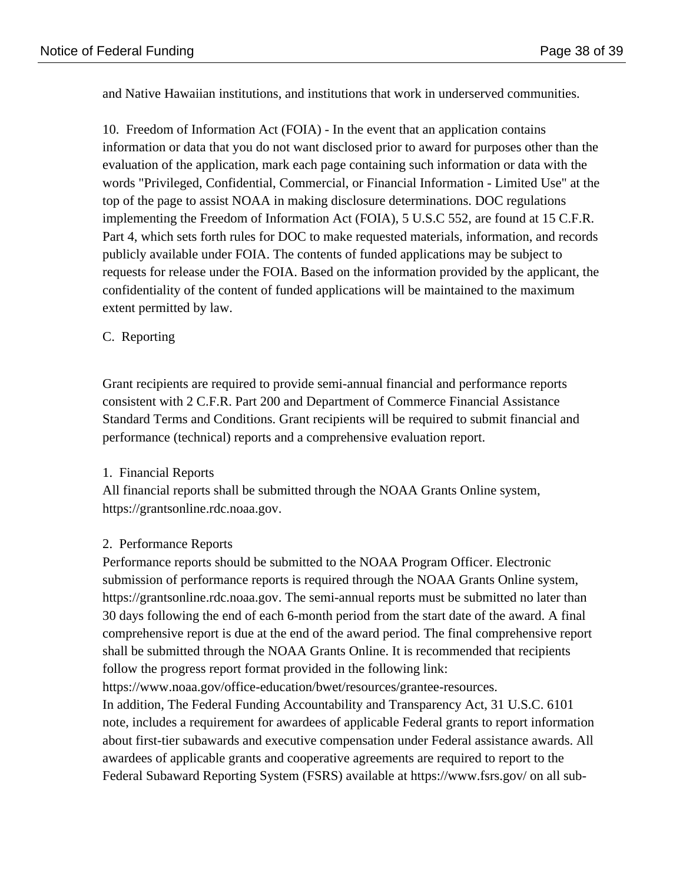and Native Hawaiian institutions, and institutions that work in underserved communities.

10. Freedom of Information Act (FOIA) - In the event that an application contains information or data that you do not want disclosed prior to award for purposes other than the evaluation of the application, mark each page containing such information or data with the words "Privileged, Confidential, Commercial, or Financial Information - Limited Use" at the top of the page to assist NOAA in making disclosure determinations. DOC regulations implementing the Freedom of Information Act (FOIA), 5 U.S.C 552, are found at 15 C.F.R. Part 4, which sets forth rules for DOC to make requested materials, information, and records publicly available under FOIA. The contents of funded applications may be subject to requests for release under the FOIA. Based on the information provided by the applicant, the confidentiality of the content of funded applications will be maintained to the maximum extent permitted by law.

## C. Reporting

Grant recipients are required to provide semi-annual financial and performance reports consistent with 2 C.F.R. Part 200 and Department of Commerce Financial Assistance Standard Terms and Conditions. Grant recipients will be required to submit financial and performance (technical) reports and a comprehensive evaluation report.

## 1. Financial Reports

All financial reports shall be submitted through the NOAA Grants Online system, https://grantsonline.rdc.noaa.gov.

## 2. Performance Reports

Performance reports should be submitted to the NOAA Program Officer. Electronic submission of performance reports is required through the NOAA Grants Online system, https://grantsonline.rdc.noaa.gov. The semi-annual reports must be submitted no later than 30 days following the end of each 6-month period from the start date of the award. A final comprehensive report is due at the end of the award period. The final comprehensive report shall be submitted through the NOAA Grants Online. It is recommended that recipients follow the progress report format provided in the following link: https://www.noaa.gov/office-education/bwet/resources/grantee-resources. In addition, The Federal Funding Accountability and Transparency Act, 31 U.S.C. 6101 note, includes a requirement for awardees of applicable Federal grants to report information

about first-tier subawards and executive compensation under Federal assistance awards. All awardees of applicable grants and cooperative agreements are required to report to the Federal Subaward Reporting System (FSRS) available at https://www.fsrs.gov/ on all sub